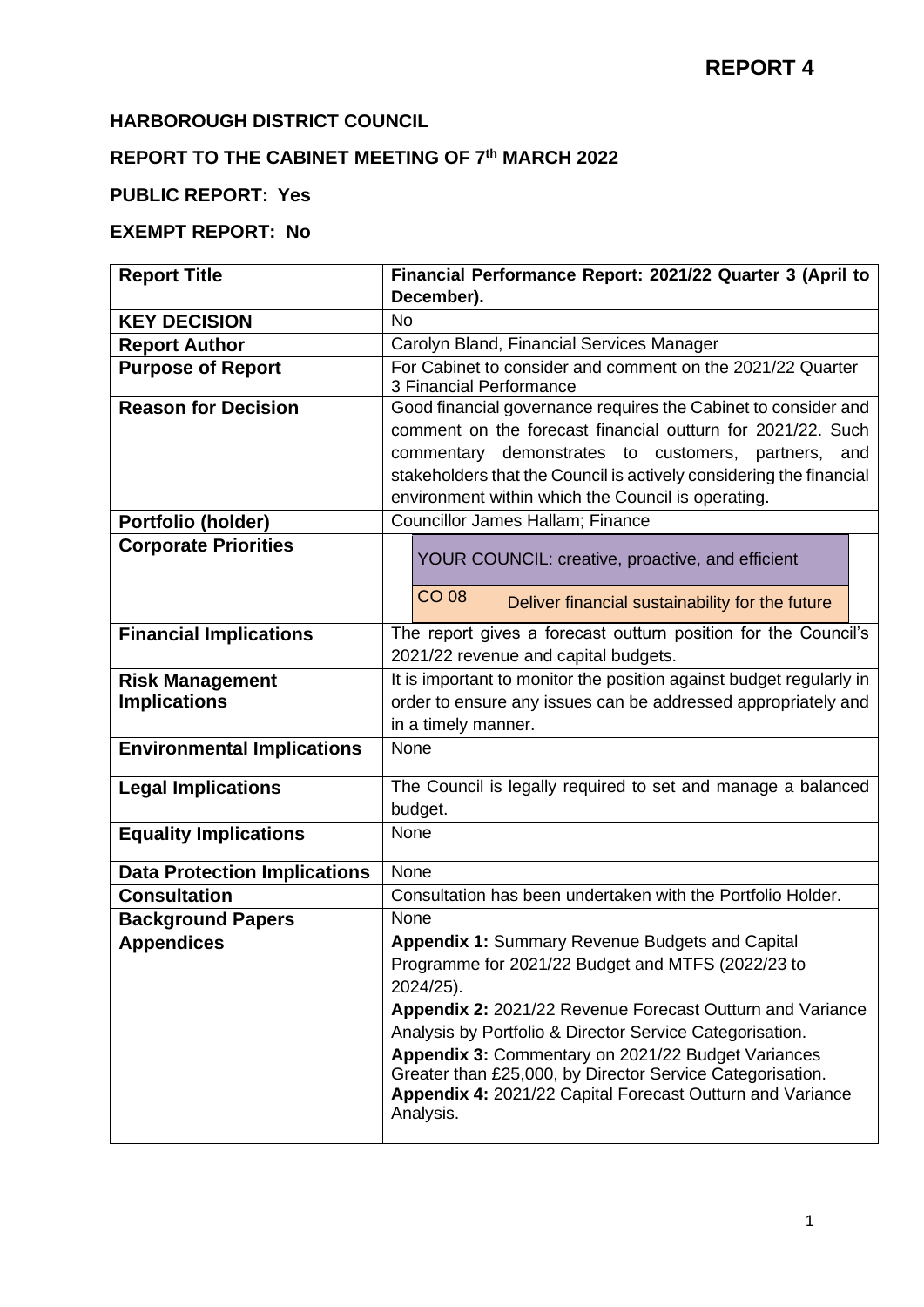#### **HARBOROUGH DISTRICT COUNCIL**

#### **REPORT TO THE CABINET MEETING OF 7 th MARCH 2022**

## **PUBLIC REPORT: Yes**

## **EXEMPT REPORT: No**

| <b>Report Title</b>                 |           |                                                                                                                    | Financial Performance Report: 2021/22 Quarter 3 (April to           |  |  |  |  |  |  |
|-------------------------------------|-----------|--------------------------------------------------------------------------------------------------------------------|---------------------------------------------------------------------|--|--|--|--|--|--|
|                                     |           | December).                                                                                                         |                                                                     |  |  |  |  |  |  |
| <b>KEY DECISION</b>                 | <b>No</b> |                                                                                                                    |                                                                     |  |  |  |  |  |  |
| <b>Report Author</b>                |           |                                                                                                                    | Carolyn Bland, Financial Services Manager                           |  |  |  |  |  |  |
| <b>Purpose of Report</b>            |           |                                                                                                                    | For Cabinet to consider and comment on the 2021/22 Quarter          |  |  |  |  |  |  |
|                                     |           | 3 Financial Performance                                                                                            |                                                                     |  |  |  |  |  |  |
| <b>Reason for Decision</b>          |           |                                                                                                                    | Good financial governance requires the Cabinet to consider and      |  |  |  |  |  |  |
|                                     |           | comment on the forecast financial outturn for 2021/22. Such<br>commentary demonstrates to customers, partners, and |                                                                     |  |  |  |  |  |  |
|                                     |           |                                                                                                                    | stakeholders that the Council is actively considering the financial |  |  |  |  |  |  |
|                                     |           |                                                                                                                    | environment within which the Council is operating.                  |  |  |  |  |  |  |
| Portfolio (holder)                  |           |                                                                                                                    | Councillor James Hallam; Finance                                    |  |  |  |  |  |  |
| <b>Corporate Priorities</b>         |           |                                                                                                                    |                                                                     |  |  |  |  |  |  |
|                                     |           |                                                                                                                    | YOUR COUNCIL: creative, proactive, and efficient                    |  |  |  |  |  |  |
|                                     |           | <b>CO 08</b>                                                                                                       |                                                                     |  |  |  |  |  |  |
|                                     |           |                                                                                                                    | Deliver financial sustainability for the future                     |  |  |  |  |  |  |
| <b>Financial Implications</b>       |           |                                                                                                                    | The report gives a forecast outturn position for the Council's      |  |  |  |  |  |  |
|                                     |           |                                                                                                                    | 2021/22 revenue and capital budgets.                                |  |  |  |  |  |  |
| <b>Risk Management</b>              |           |                                                                                                                    | It is important to monitor the position against budget regularly in |  |  |  |  |  |  |
| <b>Implications</b>                 |           |                                                                                                                    | order to ensure any issues can be addressed appropriately and       |  |  |  |  |  |  |
|                                     |           | in a timely manner.                                                                                                |                                                                     |  |  |  |  |  |  |
| <b>Environmental Implications</b>   | None      |                                                                                                                    |                                                                     |  |  |  |  |  |  |
| <b>Legal Implications</b>           |           |                                                                                                                    | The Council is legally required to set and manage a balanced        |  |  |  |  |  |  |
|                                     |           | budget.                                                                                                            |                                                                     |  |  |  |  |  |  |
| <b>Equality Implications</b>        |           | None                                                                                                               |                                                                     |  |  |  |  |  |  |
| <b>Data Protection Implications</b> |           | None                                                                                                               |                                                                     |  |  |  |  |  |  |
| <b>Consultation</b>                 |           |                                                                                                                    | Consultation has been undertaken with the Portfolio Holder.         |  |  |  |  |  |  |
| <b>Background Papers</b>            | None      |                                                                                                                    |                                                                     |  |  |  |  |  |  |
| <b>Appendices</b>                   |           |                                                                                                                    | Appendix 1: Summary Revenue Budgets and Capital                     |  |  |  |  |  |  |
|                                     |           |                                                                                                                    | Programme for 2021/22 Budget and MTFS (2022/23 to                   |  |  |  |  |  |  |
|                                     |           | 2024/25).                                                                                                          |                                                                     |  |  |  |  |  |  |
|                                     |           |                                                                                                                    | Appendix 2: 2021/22 Revenue Forecast Outturn and Variance           |  |  |  |  |  |  |
|                                     |           |                                                                                                                    | Analysis by Portfolio & Director Service Categorisation.            |  |  |  |  |  |  |
|                                     |           |                                                                                                                    | Appendix 3: Commentary on 2021/22 Budget Variances                  |  |  |  |  |  |  |
|                                     |           |                                                                                                                    | Greater than £25,000, by Director Service Categorisation.           |  |  |  |  |  |  |
|                                     |           |                                                                                                                    | Appendix 4: 2021/22 Capital Forecast Outturn and Variance           |  |  |  |  |  |  |
|                                     |           | Analysis.                                                                                                          |                                                                     |  |  |  |  |  |  |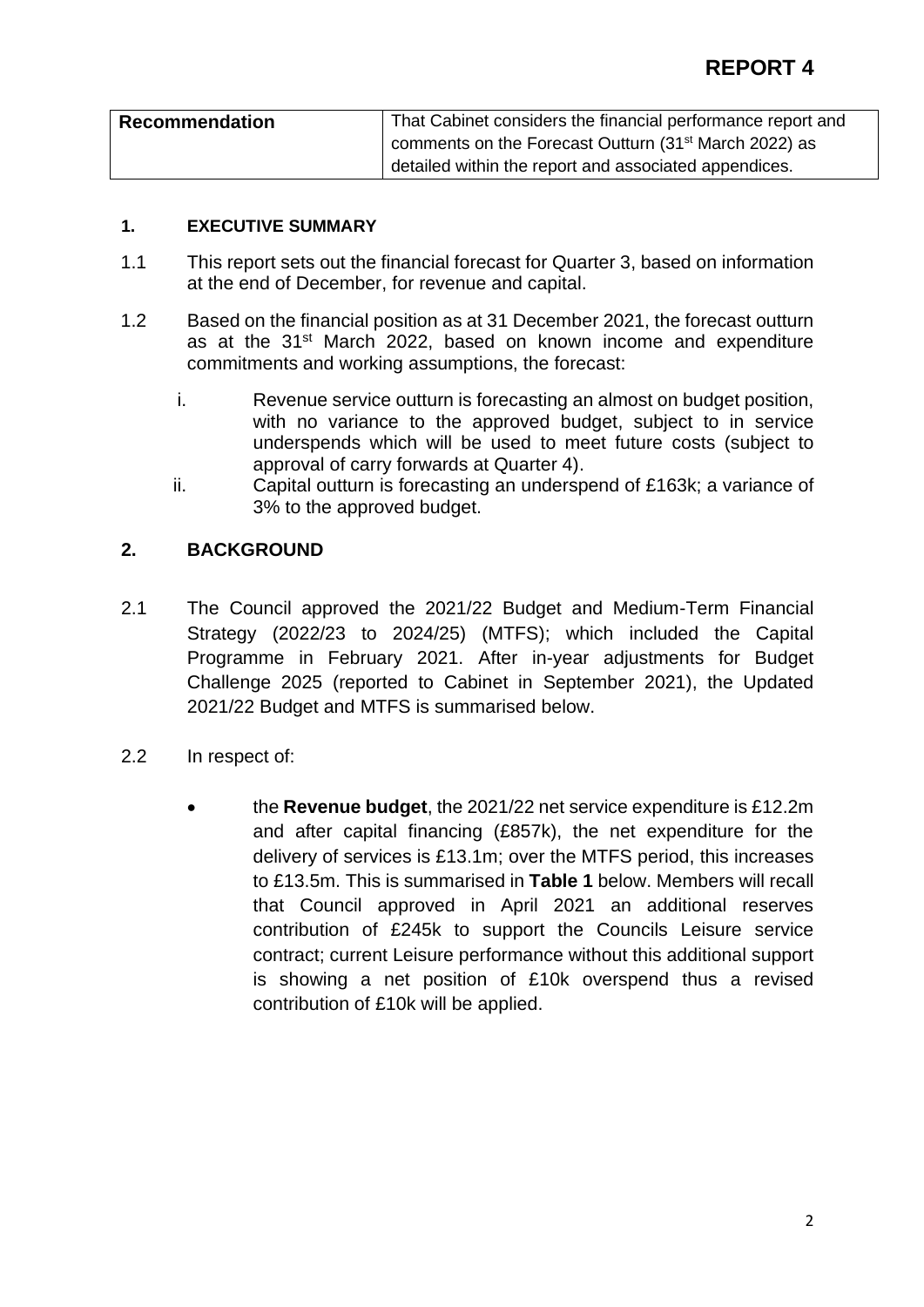| <b>Recommendation</b> | That Cabinet considers the financial performance report and       |
|-----------------------|-------------------------------------------------------------------|
|                       | comments on the Forecast Outturn (31 <sup>st</sup> March 2022) as |
|                       | detailed within the report and associated appendices.             |

#### **1. EXECUTIVE SUMMARY**

- 1.1 This report sets out the financial forecast for Quarter 3, based on information at the end of December, for revenue and capital.
- 1.2 Based on the financial position as at 31 December 2021, the forecast outturn as at the 31<sup>st</sup> March 2022, based on known income and expenditure commitments and working assumptions, the forecast:
	- i. Revenue service outturn is forecasting an almost on budget position, with no variance to the approved budget, subject to in service underspends which will be used to meet future costs (subject to approval of carry forwards at Quarter 4).
	- ii. Capital outturn is forecasting an underspend of £163k; a variance of 3% to the approved budget.

#### **2. BACKGROUND**

- 2.1 The Council approved the 2021/22 Budget and Medium-Term Financial Strategy (2022/23 to 2024/25) (MTFS); which included the Capital Programme in February 2021. After in-year adjustments for Budget Challenge 2025 (reported to Cabinet in September 2021), the Updated 2021/22 Budget and MTFS is summarised below.
- 2.2 In respect of:
	- the **Revenue budget**, the 2021/22 net service expenditure is £12.2m and after capital financing (£857k), the net expenditure for the delivery of services is £13.1m; over the MTFS period, this increases to £13.5m. This is summarised in **Table 1** below. Members will recall that Council approved in April 2021 an additional reserves contribution of £245k to support the Councils Leisure service contract; current Leisure performance without this additional support is showing a net position of £10k overspend thus a revised contribution of £10k will be applied.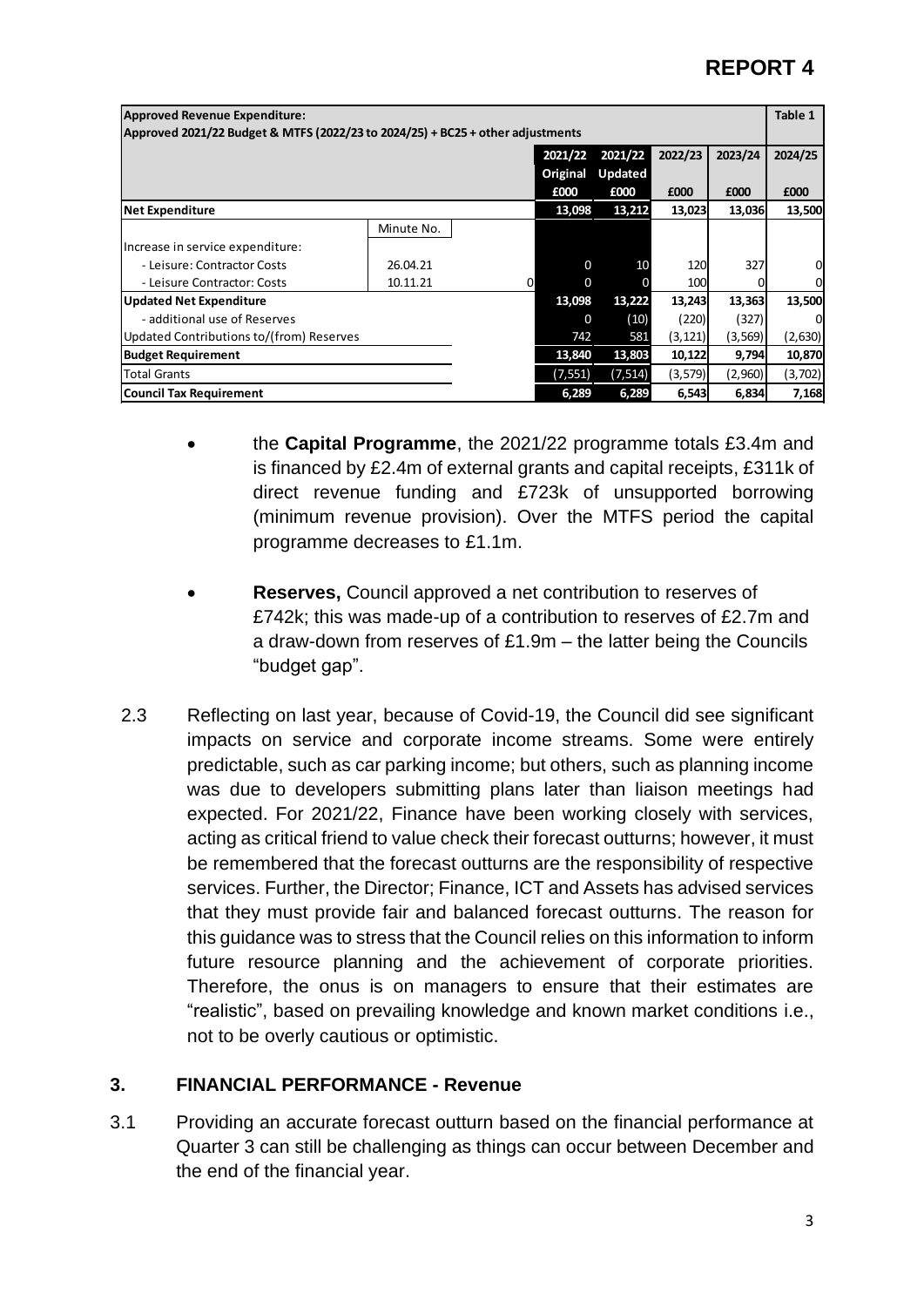| <b>Approved Revenue Expenditure:</b>                                           |            |              |          |                |          |          | Table 1 |  |  |  |
|--------------------------------------------------------------------------------|------------|--------------|----------|----------------|----------|----------|---------|--|--|--|
| Approved 2021/22 Budget & MTFS (2022/23 to 2024/25) + BC25 + other adjustments |            |              |          |                |          |          |         |  |  |  |
| 2022/23<br>2023/24<br>2021/22<br>2021/22<br>2024/25                            |            |              |          |                |          |          |         |  |  |  |
|                                                                                |            |              | Original | <b>Updated</b> |          |          |         |  |  |  |
|                                                                                |            |              | £000     | £000           | £000     | £000     | £000    |  |  |  |
| <b>Net Expenditure</b>                                                         |            |              | 13,098   | 13,212         | 13,023   | 13,036   | 13,500  |  |  |  |
|                                                                                | Minute No. |              |          |                |          |          |         |  |  |  |
| Increase in service expenditure:                                               |            |              |          |                |          |          |         |  |  |  |
| - Leisure: Contractor Costs                                                    | 26.04.21   |              | 0        | 10             | 120      | 327      | 0       |  |  |  |
| - Leisure Contractor: Costs                                                    | 10.11.21   | <sub>0</sub> | 0        |                | 100      |          | 0       |  |  |  |
| <b>Updated Net Expenditure</b>                                                 |            |              | 13,098   | 13,222         | 13,243   | 13,363   | 13,500  |  |  |  |
| - additional use of Reserves                                                   |            |              | 0        | (10)           | (220)    | (327)    | 0       |  |  |  |
| Updated Contributions to/(from) Reserves                                       |            |              | 742      | 581            | (3, 121) | (3, 569) | (2,630) |  |  |  |
| <b>Budget Requirement</b>                                                      |            |              | 13,840   | 13,803         | 10,122   | 9,794    | 10,870  |  |  |  |
| <b>Total Grants</b>                                                            |            |              | (7, 551) | (7, 514)       | (3, 579) | (2,960)  | (3,702) |  |  |  |
| Council Tax Requirement                                                        |            |              | 6,289    | 6,289          | 6,543    | 6,834    | 7,168   |  |  |  |

- the **Capital Programme**, the 2021/22 programme totals £3.4m and is financed by £2.4m of external grants and capital receipts, £311k of direct revenue funding and £723k of unsupported borrowing (minimum revenue provision). Over the MTFS period the capital programme decreases to £1.1m.
- **Reserves,** Council approved a net contribution to reserves of £742k; this was made-up of a contribution to reserves of £2.7m and a draw-down from reserves of £1.9m – the latter being the Councils "budget gap".
- 2.3 Reflecting on last year, because of Covid-19, the Council did see significant impacts on service and corporate income streams. Some were entirely predictable, such as car parking income; but others, such as planning income was due to developers submitting plans later than liaison meetings had expected. For 2021/22, Finance have been working closely with services, acting as critical friend to value check their forecast outturns; however, it must be remembered that the forecast outturns are the responsibility of respective services. Further, the Director; Finance, ICT and Assets has advised services that they must provide fair and balanced forecast outturns. The reason for this guidance was to stress that the Council relies on this information to inform future resource planning and the achievement of corporate priorities. Therefore, the onus is on managers to ensure that their estimates are "realistic", based on prevailing knowledge and known market conditions i.e., not to be overly cautious or optimistic.

#### **3. FINANCIAL PERFORMANCE - Revenue**

3.1 Providing an accurate forecast outturn based on the financial performance at Quarter 3 can still be challenging as things can occur between December and the end of the financial year.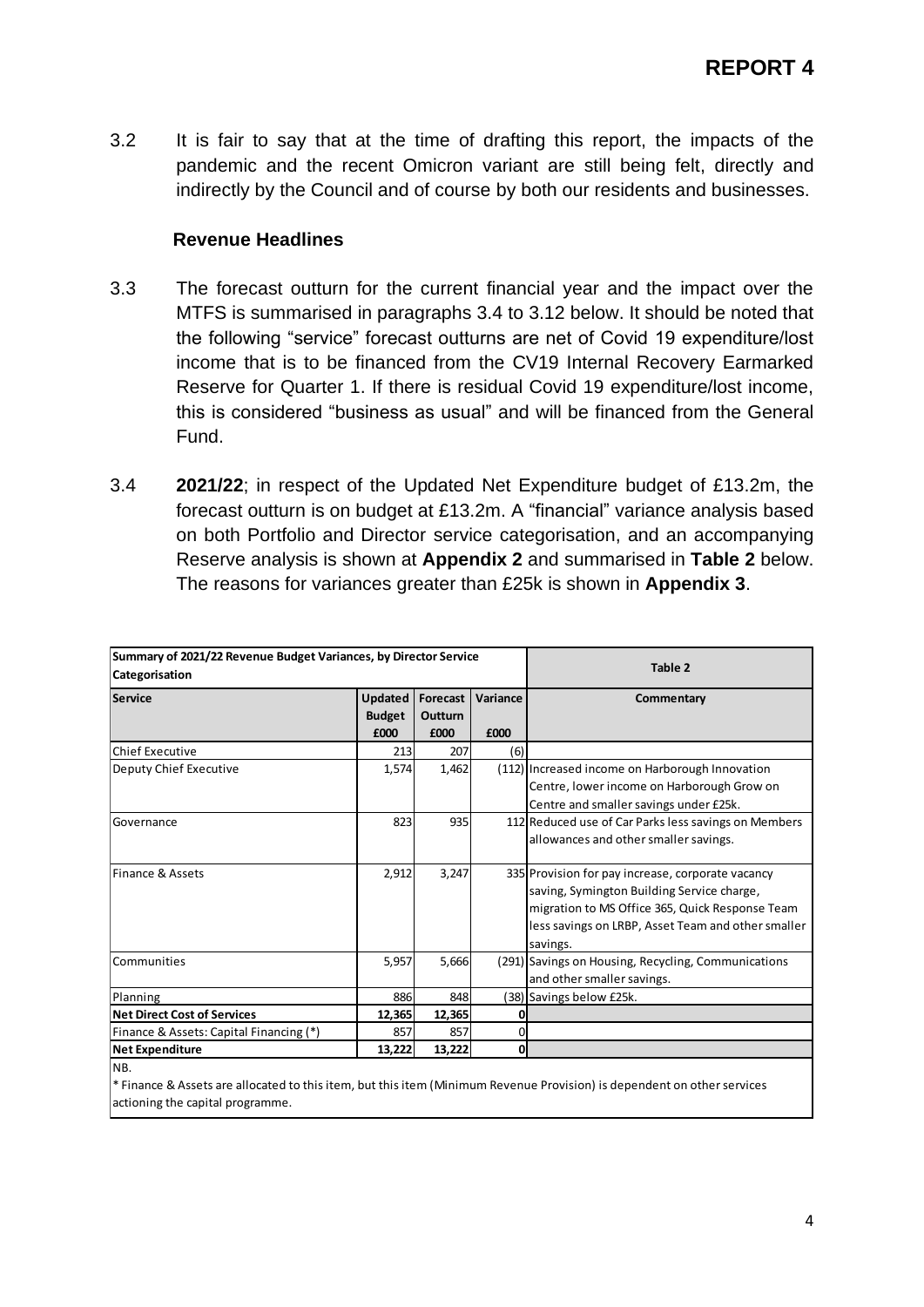3.2 It is fair to say that at the time of drafting this report, the impacts of the pandemic and the recent Omicron variant are still being felt, directly and indirectly by the Council and of course by both our residents and businesses.

#### **Revenue Headlines**

- 3.3 The forecast outturn for the current financial year and the impact over the MTFS is summarised in paragraphs 3.4 to 3.12 below. It should be noted that the following "service" forecast outturns are net of Covid 19 expenditure/lost income that is to be financed from the CV19 Internal Recovery Earmarked Reserve for Quarter 1. If there is residual Covid 19 expenditure/lost income, this is considered "business as usual" and will be financed from the General Fund.
- 3.4 **2021/22**; in respect of the Updated Net Expenditure budget of £13.2m, the forecast outturn is on budget at £13.2m. A "financial" variance analysis based on both Portfolio and Director service categorisation, and an accompanying Reserve analysis is shown at **Appendix 2** and summarised in **Table 2** below. The reasons for variances greater than £25k is shown in **Appendix 3**.

| Summary of 2021/22 Revenue Budget Variances, by Director Service<br>Categorisation | Table 2                                 |                                    |                  |                                                                                                                                                                                                                      |
|------------------------------------------------------------------------------------|-----------------------------------------|------------------------------------|------------------|----------------------------------------------------------------------------------------------------------------------------------------------------------------------------------------------------------------------|
| <b>Service</b>                                                                     | <b>Updated</b><br><b>Budget</b><br>£000 | Forecast<br><b>Outturn</b><br>£000 | Variance<br>£000 | Commentary                                                                                                                                                                                                           |
| Chief Executive                                                                    | 213                                     | 207                                | (6)              |                                                                                                                                                                                                                      |
| Deputy Chief Executive                                                             | 1,574                                   | 1,462                              |                  | (112) Increased income on Harborough Innovation<br>Centre, lower income on Harborough Grow on<br>Centre and smaller savings under £25k.                                                                              |
| Governance                                                                         | 823                                     | 935                                |                  | 112 Reduced use of Car Parks less savings on Members<br>allowances and other smaller savings.                                                                                                                        |
| Finance & Assets                                                                   | 2,912                                   | 3,247                              |                  | 335 Provision for pay increase, corporate vacancy<br>saving, Symington Building Service charge,<br>migration to MS Office 365, Quick Response Team<br>less savings on LRBP, Asset Team and other smaller<br>savings. |
| Communities                                                                        | 5,957                                   | 5,666                              |                  | (291) Savings on Housing, Recycling, Communications<br>and other smaller savings.                                                                                                                                    |
| Planning                                                                           | 886                                     | 848                                |                  | (38) Savings below £25k.                                                                                                                                                                                             |
| <b>Net Direct Cost of Services</b>                                                 | 12,365                                  | 12,365                             | 0                |                                                                                                                                                                                                                      |
| Finance & Assets: Capital Financing (*)                                            | 857                                     | 857                                | $\Omega$         |                                                                                                                                                                                                                      |
| <b>Net Expenditure</b>                                                             | 13,222                                  | 13,222                             | 0l               |                                                                                                                                                                                                                      |
| NB.                                                                                |                                         |                                    |                  |                                                                                                                                                                                                                      |

\* Finance & Assets are allocated to this item, but this item (Minimum Revenue Provision) is dependent on other services actioning the capital programme.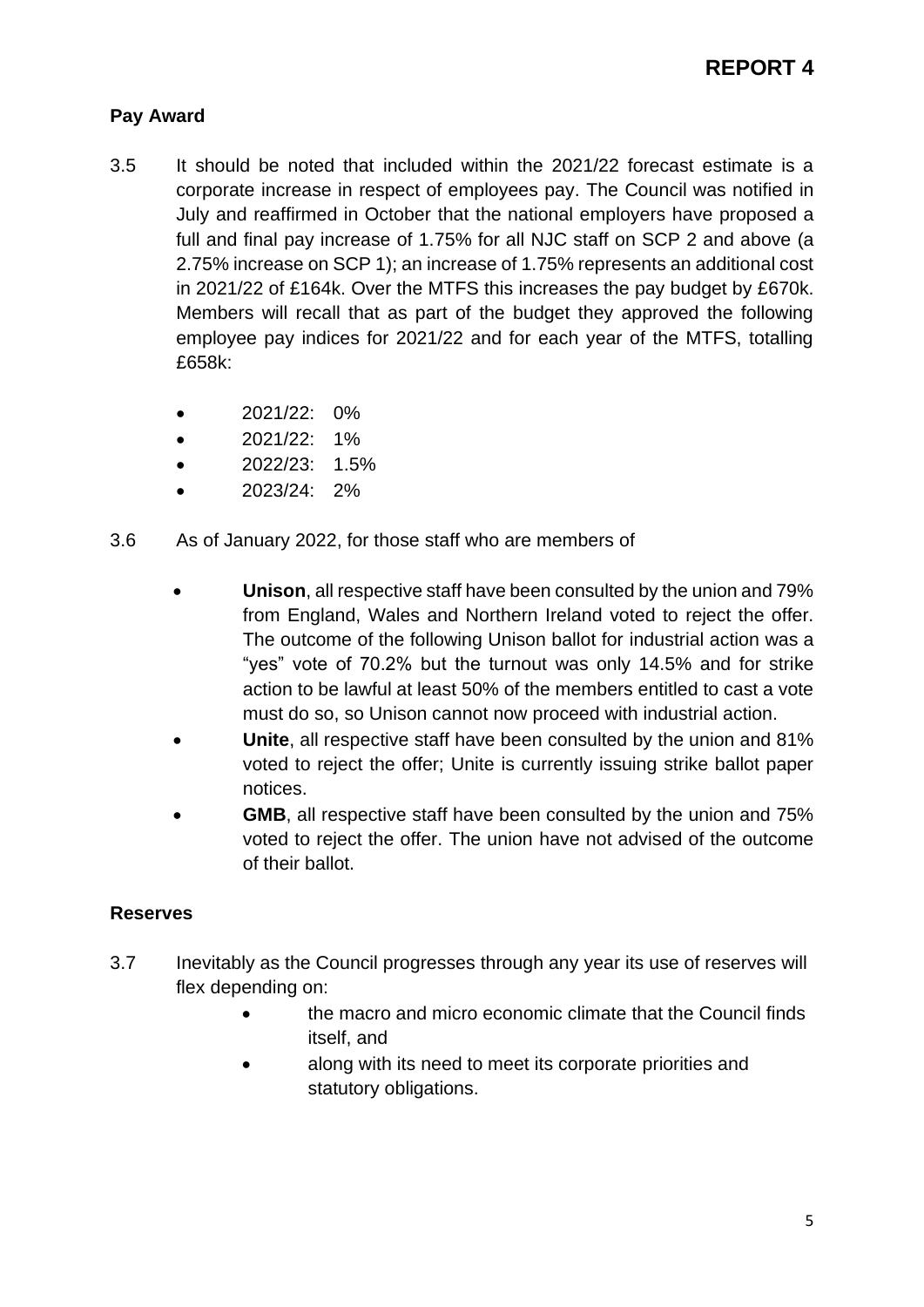## **Pay Award**

- 3.5 It should be noted that included within the 2021/22 forecast estimate is a corporate increase in respect of employees pay. The Council was notified in July and reaffirmed in October that the national employers have proposed a full and final pay increase of 1.75% for all NJC staff on SCP 2 and above (a 2.75% increase on SCP 1); an increase of 1.75% represents an additional cost in 2021/22 of £164k. Over the MTFS this increases the pay budget by £670k. Members will recall that as part of the budget they approved the following employee pay indices for 2021/22 and for each year of the MTFS, totalling £658k:
	- 2021/22: 0%
	- 2021/22: 1%
	- 2022/23: 1.5%
	- $\bullet$  2023/24: 2%
- 3.6 As of January 2022, for those staff who are members of
	- **Unison**, all respective staff have been consulted by the union and 79% from England, Wales and Northern Ireland voted to reject the offer. The outcome of the following Unison ballot for industrial action was a "yes" vote of 70.2% but the turnout was only 14.5% and for strike action to be lawful at least 50% of the members entitled to cast a vote must do so, so Unison cannot now proceed with industrial action.
	- **Unite**, all respective staff have been consulted by the union and 81% voted to reject the offer; Unite is currently issuing strike ballot paper notices.
	- **GMB**, all respective staff have been consulted by the union and 75% voted to reject the offer. The union have not advised of the outcome of their ballot.

## **Reserves**

- 3.7 Inevitably as the Council progresses through any year its use of reserves will flex depending on:
	- the macro and micro economic climate that the Council finds itself, and
	- along with its need to meet its corporate priorities and statutory obligations.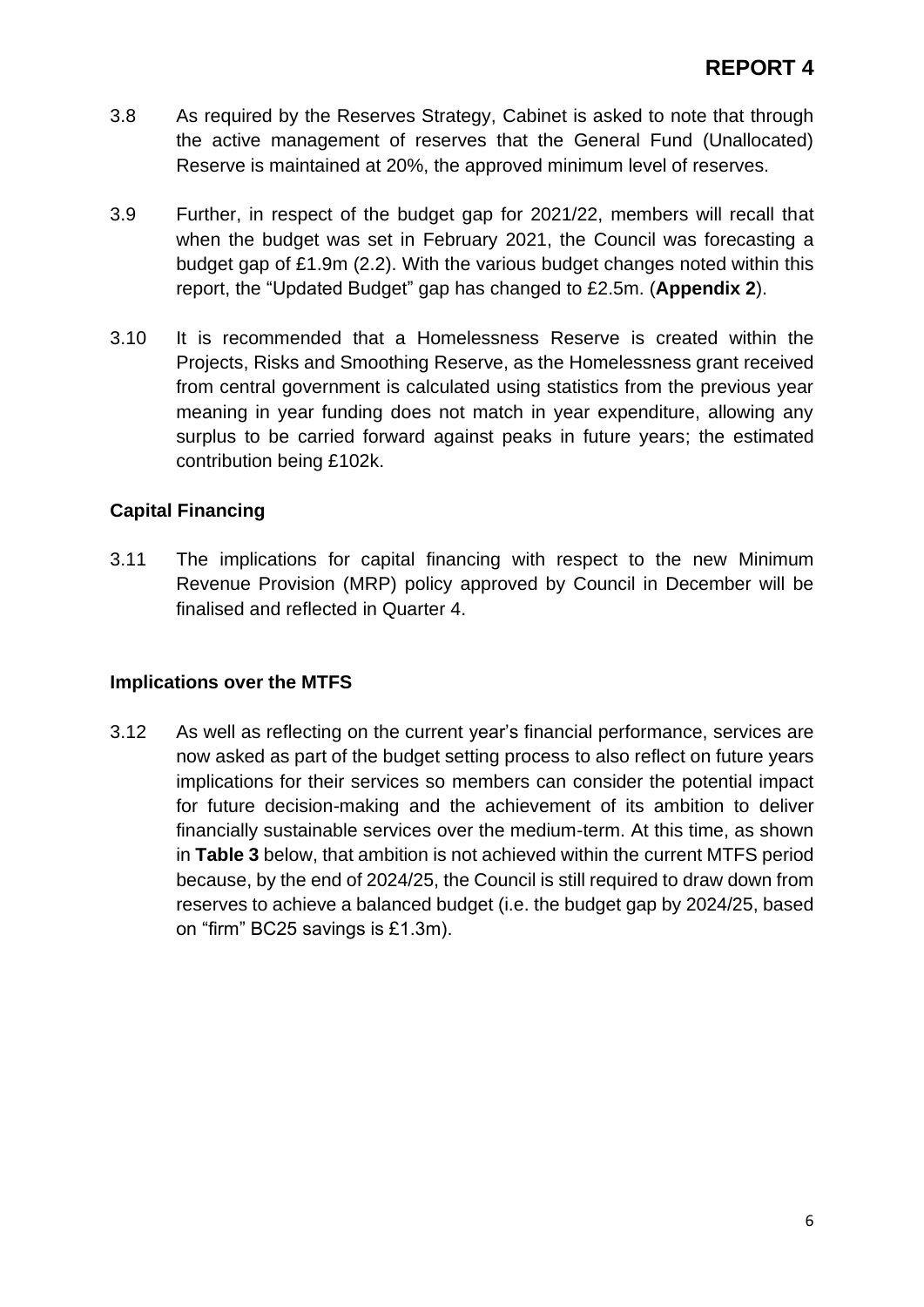- 3.8 As required by the Reserves Strategy, Cabinet is asked to note that through the active management of reserves that the General Fund (Unallocated) Reserve is maintained at 20%, the approved minimum level of reserves.
- 3.9 Further, in respect of the budget gap for 2021/22, members will recall that when the budget was set in February 2021, the Council was forecasting a budget gap of £1.9m (2.2). With the various budget changes noted within this report, the "Updated Budget" gap has changed to £2.5m. (**Appendix 2**).
- 3.10 It is recommended that a Homelessness Reserve is created within the Projects, Risks and Smoothing Reserve, as the Homelessness grant received from central government is calculated using statistics from the previous year meaning in year funding does not match in year expenditure, allowing any surplus to be carried forward against peaks in future years; the estimated contribution being £102k.

#### **Capital Financing**

3.11 The implications for capital financing with respect to the new Minimum Revenue Provision (MRP) policy approved by Council in December will be finalised and reflected in Quarter 4.

#### **Implications over the MTFS**

3.12 As well as reflecting on the current year's financial performance, services are now asked as part of the budget setting process to also reflect on future years implications for their services so members can consider the potential impact for future decision-making and the achievement of its ambition to deliver financially sustainable services over the medium-term. At this time, as shown in **Table 3** below, that ambition is not achieved within the current MTFS period because, by the end of 2024/25, the Council is still required to draw down from reserves to achieve a balanced budget (i.e. the budget gap by 2024/25, based on "firm" BC25 savings is £1.3m).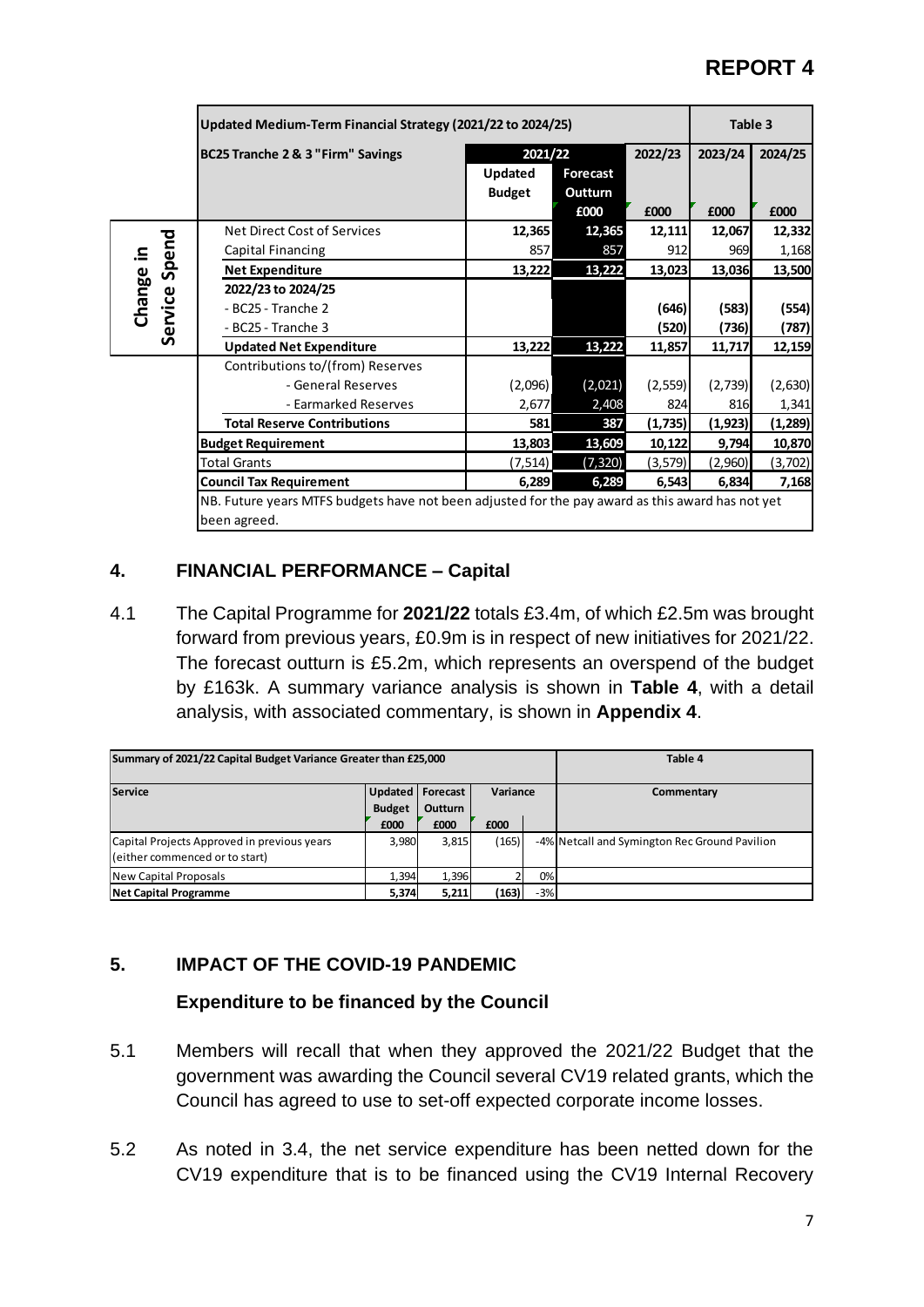|                    | Updated Medium-Term Financial Strategy (2021/22 to 2024/25)                                      |               |          |          |          | Table 3  |
|--------------------|--------------------------------------------------------------------------------------------------|---------------|----------|----------|----------|----------|
|                    | BC25 Tranche 2 & 3 "Firm" Savings                                                                | 2021/22       |          | 2022/23  | 2023/24  | 2024/25  |
|                    |                                                                                                  | Updated       | Forecast |          |          |          |
|                    |                                                                                                  | <b>Budget</b> | Outturn  |          |          |          |
|                    |                                                                                                  |               | £000     | £000     | £000     | £000     |
|                    | Net Direct Cost of Services                                                                      | 12,365        | 12,365   | 12,111   | 12,067   | 12,332   |
|                    | Capital Financing                                                                                | 857           | 857      | 912      | 969      | 1,168    |
| Spend<br>Change in | <b>Net Expenditure</b>                                                                           | 13,222        | 13,222   | 13,023   | 13,036   | 13,500   |
|                    | 2022/23 to 2024/25                                                                               |               |          |          |          |          |
|                    | - BC25 - Tranche 2                                                                               |               |          | (646)    | (583)    | (554)    |
| Service            | - BC25 - Tranche 3                                                                               |               |          | (520)    | (736)    | (787)    |
|                    | <b>Updated Net Expenditure</b>                                                                   | 13,222        | 13,222   | 11,857   | 11,717   | 12,159   |
|                    | Contributions to/(from) Reserves                                                                 |               |          |          |          |          |
|                    | - General Reserves                                                                               | (2,096)       | (2,021)  | (2, 559) | (2,739)  | (2,630)  |
|                    | - Earmarked Reserves                                                                             | 2,677         | 2,408    | 824      | 816      | 1,341    |
|                    | <b>Total Reserve Contributions</b>                                                               | 581           | 387      | (1,735)  | (1, 923) | (1, 289) |
|                    | <b>Budget Requirement</b>                                                                        | 13,803        | 13,609   | 10,122   | 9,794    | 10,870   |
|                    | <b>Total Grants</b>                                                                              | (7, 514)      | (7, 320) | (3, 579) | (2,960)  | (3,702)  |
|                    | <b>Council Tax Requirement</b>                                                                   | 6,289         | 6,289    | 6,543    | 6,834    | 7,168    |
|                    | NB. Future years MTFS budgets have not been adjusted for the pay award as this award has not yet |               |          |          |          |          |
|                    | been agreed.                                                                                     |               |          |          |          |          |

#### **4. FINANCIAL PERFORMANCE – Capital**

4.1 The Capital Programme for **2021/22** totals £3.4m, of which £2.5m was brought forward from previous years, £0.9m is in respect of new initiatives for 2021/22. The forecast outturn is £5.2m, which represents an overspend of the budget by £163k. A summary variance analysis is shown in **Table 4**, with a detail analysis, with associated commentary, is shown in **Appendix 4**.

| Summary of 2021/22 Capital Budget Variance Greater than £25,000 | Table 4            |                |          |       |                                               |
|-----------------------------------------------------------------|--------------------|----------------|----------|-------|-----------------------------------------------|
| <b>Service</b>                                                  | Updated   Forecast |                | Variance |       | Commentary                                    |
|                                                                 | <b>Budget</b>      | <b>Outturn</b> |          |       |                                               |
|                                                                 | £000               | £000           | £000     |       |                                               |
| Capital Projects Approved in previous years                     | 3,980              | 3,815          | (165)    |       | -4% Netcall and Symington Rec Ground Pavilion |
| (either commenced or to start)                                  |                    |                |          |       |                                               |
| New Capital Proposals                                           | 1,394              | 1,396          |          | 0%    |                                               |
| <b>Net Capital Programme</b>                                    | 5,374              | 5,211          | (163)    | $-3%$ |                                               |

## **5. IMPACT OF THE COVID-19 PANDEMIC**

#### **Expenditure to be financed by the Council**

- 5.1 Members will recall that when they approved the 2021/22 Budget that the government was awarding the Council several CV19 related grants, which the Council has agreed to use to set-off expected corporate income losses.
- 5.2 As noted in 3.4, the net service expenditure has been netted down for the CV19 expenditure that is to be financed using the CV19 Internal Recovery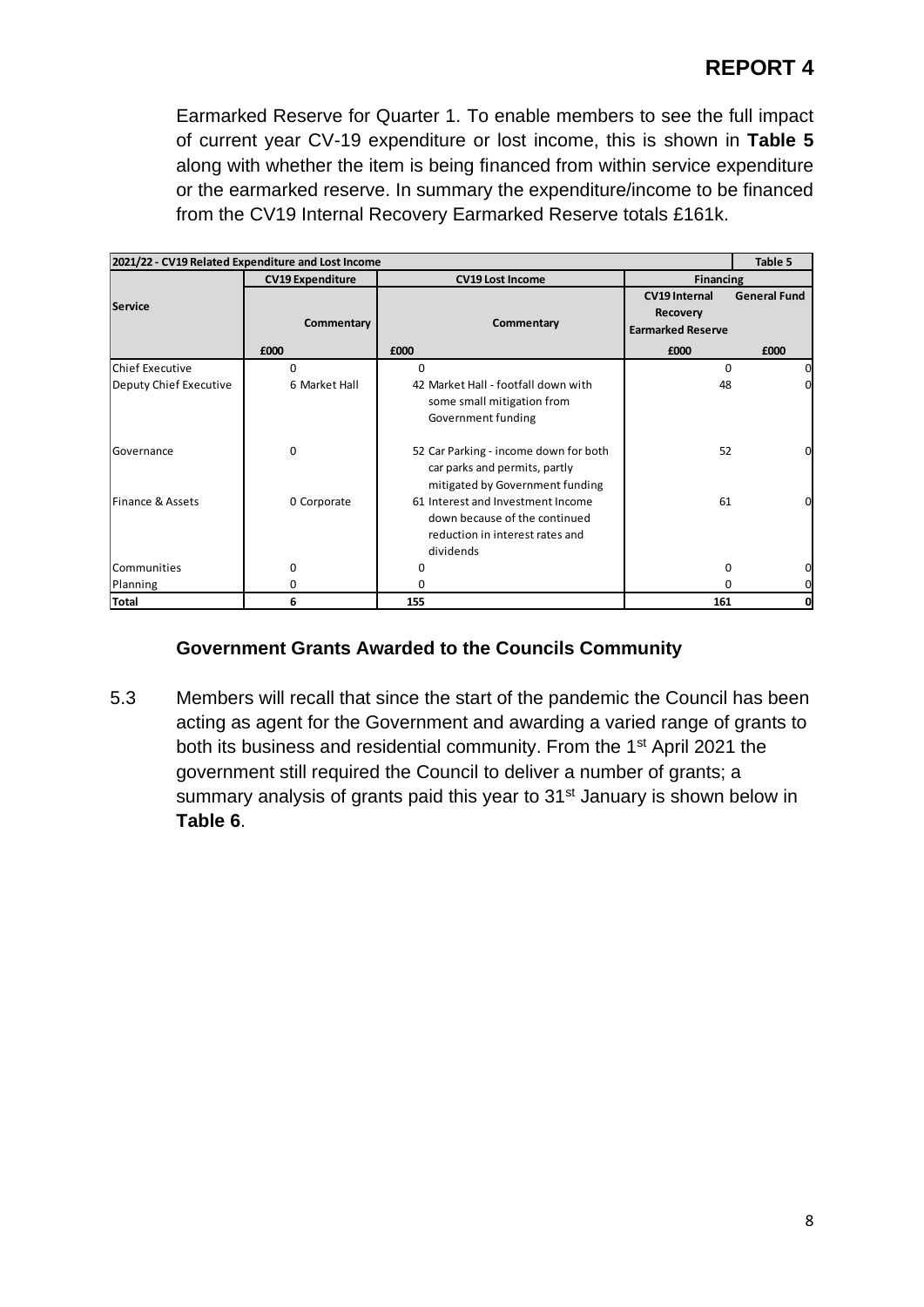Earmarked Reserve for Quarter 1. To enable members to see the full impact of current year CV-19 expenditure or lost income, this is shown in **Table 5** along with whether the item is being financed from within service expenditure or the earmarked reserve. In summary the expenditure/income to be financed from the CV19 Internal Recovery Earmarked Reserve totals £161k.

|                        | 2021/22 - CV19 Related Expenditure and Lost Income |                                                                                                                    |                                                              | Table 5             |
|------------------------|----------------------------------------------------|--------------------------------------------------------------------------------------------------------------------|--------------------------------------------------------------|---------------------|
|                        | <b>CV19 Expenditure</b>                            | <b>CV19 Lost Income</b>                                                                                            | <b>Financing</b>                                             |                     |
| <b>Service</b>         | Commentary                                         | Commentary                                                                                                         | <b>CV19 Internal</b><br>Recovery<br><b>Earmarked Reserve</b> | <b>General Fund</b> |
|                        | £000                                               | £000                                                                                                               | £000                                                         | £000                |
| <b>Chief Executive</b> | 0                                                  | 0                                                                                                                  | 0                                                            | 0                   |
| Deputy Chief Executive | 6 Market Hall                                      | 42 Market Hall - footfall down with<br>some small mitigation from<br>Government funding                            | 48                                                           | $\Omega$            |
| Governance             | $\mathbf 0$                                        | 52 Car Parking - income down for both<br>car parks and permits, partly<br>mitigated by Government funding          | 52                                                           | 0                   |
| Finance & Assets       | 0 Corporate                                        | 61 Interest and Investment Income<br>down because of the continued<br>reduction in interest rates and<br>dividends | 61                                                           | $\Omega$            |
| Communities            | 0                                                  | ŋ                                                                                                                  | 0                                                            | 0                   |
| Planning               | 0                                                  |                                                                                                                    | 0                                                            | 0                   |
| <b>Total</b>           | 6                                                  | 155                                                                                                                | 161                                                          | 0                   |

#### **Government Grants Awarded to the Councils Community**

5.3 Members will recall that since the start of the pandemic the Council has been acting as agent for the Government and awarding a varied range of grants to both its business and residential community. From the 1st April 2021 the government still required the Council to deliver a number of grants; a summary analysis of grants paid this year to 31<sup>st</sup> January is shown below in **Table 6**.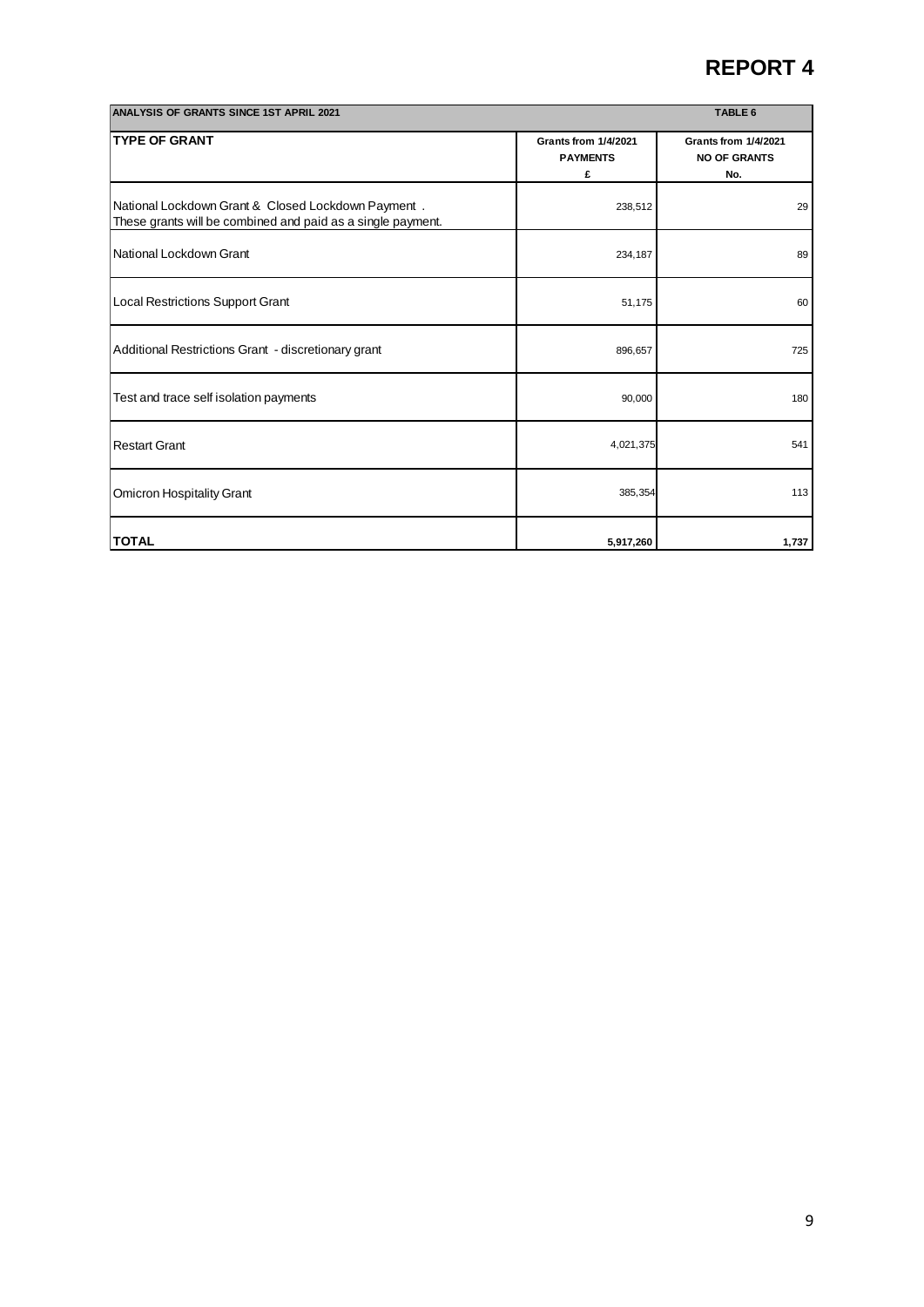| <b>ANALYSIS OF GRANTS SINCE 1ST APRIL 2021</b>                                                                    |                                              | TABLE 6                                            |
|-------------------------------------------------------------------------------------------------------------------|----------------------------------------------|----------------------------------------------------|
| <b>TYPE OF GRANT</b>                                                                                              | Grants from 1/4/2021<br><b>PAYMENTS</b><br>£ | Grants from 1/4/2021<br><b>NO OF GRANTS</b><br>No. |
| National Lockdown Grant & Closed Lockdown Payment.<br>These grants will be combined and paid as a single payment. | 238,512                                      | 29                                                 |
| National Lockdown Grant                                                                                           | 234,187                                      | 89                                                 |
| Local Restrictions Support Grant                                                                                  | 51,175                                       | 60                                                 |
| Additional Restrictions Grant - discretionary grant                                                               | 896,657                                      | 725                                                |
| Test and trace self isolation payments                                                                            | 90,000                                       | 180                                                |
| <b>Restart Grant</b>                                                                                              | 4,021,375                                    | 541                                                |
| <b>Omicron Hospitality Grant</b>                                                                                  | 385,354                                      | 113                                                |
| <b>TOTAL</b>                                                                                                      | 5,917,260                                    | 1,737                                              |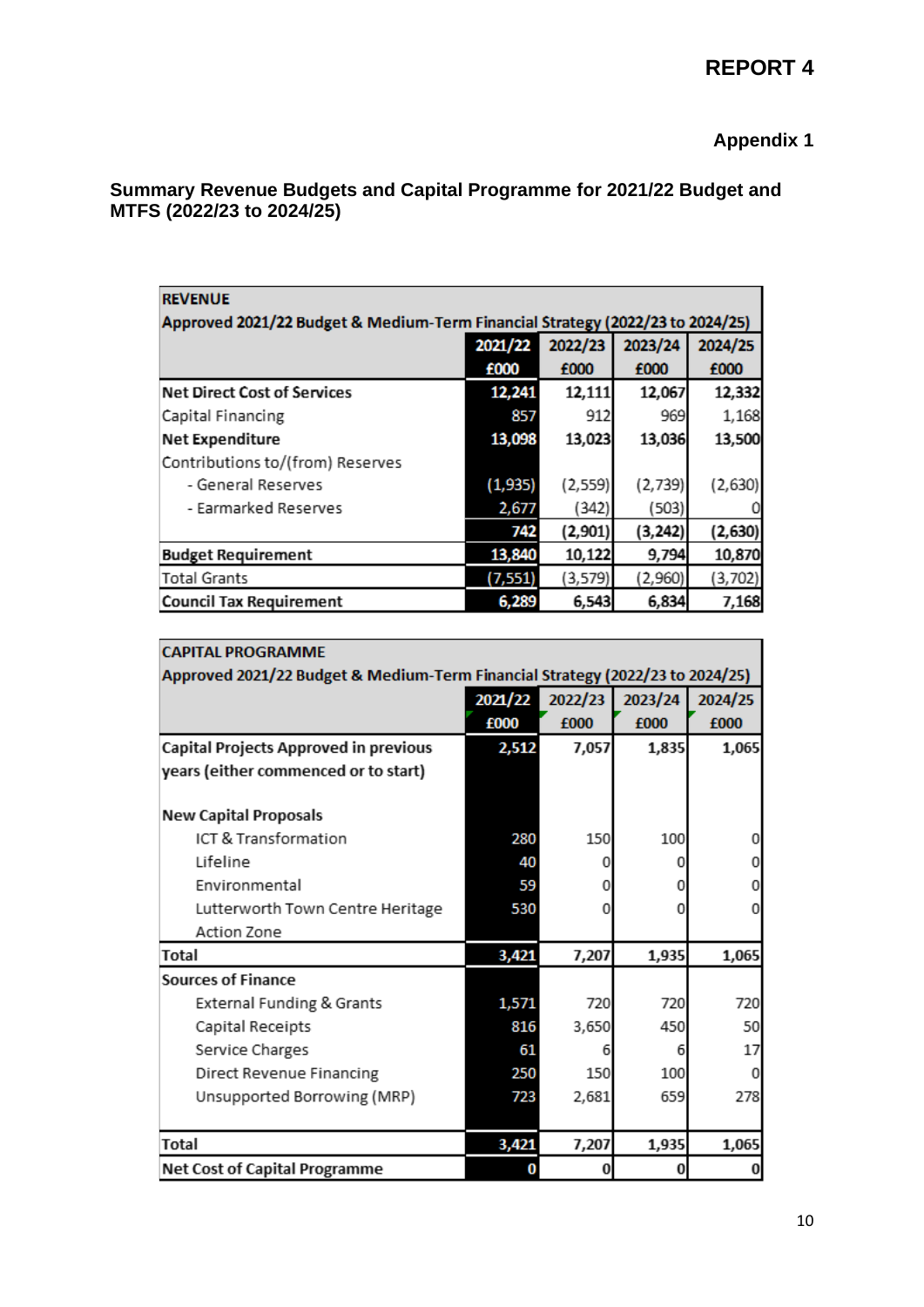## **Appendix 1**

#### **Summary Revenue Budgets and Capital Programme for 2021/22 Budget and MTFS (2022/23 to 2024/25)**

| <b>REVENUE</b>                                                                |          |         |          |         |  |  |  |  |  |  |
|-------------------------------------------------------------------------------|----------|---------|----------|---------|--|--|--|--|--|--|
| Approved 2021/22 Budget & Medium-Term Financial Strategy (2022/23 to 2024/25) |          |         |          |         |  |  |  |  |  |  |
|                                                                               | 2021/22  | 2022/23 | 2023/24  | 2024/25 |  |  |  |  |  |  |
|                                                                               | £000     | £000    | £000     | £000    |  |  |  |  |  |  |
| <b>Net Direct Cost of Services</b>                                            | 12,241   | 12,111  | 12,067   | 12,332  |  |  |  |  |  |  |
| Capital Financing                                                             | 857      | 912     | 969      | 1,168   |  |  |  |  |  |  |
| <b>Net Expenditure</b>                                                        | 13,098   | 13,023  | 13,036   | 13,500  |  |  |  |  |  |  |
| Contributions to/(from) Reserves                                              |          |         |          |         |  |  |  |  |  |  |
| - General Reserves                                                            | (1, 935) | (2,559) | (2,739)  | (2,630) |  |  |  |  |  |  |
| - Earmarked Reserves                                                          | 2,677    | (342)   | (503)    |         |  |  |  |  |  |  |
|                                                                               | 742      | (2,901) | (3, 242) | (2,630) |  |  |  |  |  |  |
| <b>Budget Requirement</b>                                                     | 13,840   | 10,122  | 9,794    | 10,870  |  |  |  |  |  |  |
| <b>Total Grants</b>                                                           | (7, 551) | (3,579) | (2,960)  | (3,702) |  |  |  |  |  |  |
| <b>Council Tax Requirement</b>                                                | 6,289    | 6,543   | 6,834    | 7,168   |  |  |  |  |  |  |

| <b>CAPITAL PROGRAMME</b>                                                      |         |         |          |         |  |  |  |  |  |
|-------------------------------------------------------------------------------|---------|---------|----------|---------|--|--|--|--|--|
| Approved 2021/22 Budget & Medium-Term Financial Strategy (2022/23 to 2024/25) |         |         |          |         |  |  |  |  |  |
|                                                                               | 2021/22 | 2022/23 | 2023/24  | 2024/25 |  |  |  |  |  |
|                                                                               | £000    | £000    | £000     | £000    |  |  |  |  |  |
| Capital Projects Approved in previous                                         | 2,512   | 7,057   | 1,835    | 1,065   |  |  |  |  |  |
| years (either commenced or to start)                                          |         |         |          |         |  |  |  |  |  |
|                                                                               |         |         |          |         |  |  |  |  |  |
| <b>New Capital Proposals</b>                                                  |         |         |          |         |  |  |  |  |  |
| ICT & Transformation                                                          | 280     | 150     | 100      | 0       |  |  |  |  |  |
| Lifeline                                                                      | 40      |         | n        | 0       |  |  |  |  |  |
| Environmental                                                                 | 59      | O       | 0        |         |  |  |  |  |  |
| Lutterworth Town Centre Heritage                                              | 530     | O       | Ω        | 0       |  |  |  |  |  |
| Action Zone                                                                   |         |         |          |         |  |  |  |  |  |
| Total                                                                         | 3,421   | 7,207   | 1,935    | 1,065   |  |  |  |  |  |
| <b>Sources of Finance</b>                                                     |         |         |          |         |  |  |  |  |  |
| External Funding & Grants                                                     | 1,571   | 720     | 720      | 720     |  |  |  |  |  |
| Capital Receipts                                                              | 816     | 3,650   | 450      | 50      |  |  |  |  |  |
| Service Charges                                                               | 61      | 6       | 6        | 17      |  |  |  |  |  |
| Direct Revenue Financing                                                      | 250     | 150     | 100      | 0       |  |  |  |  |  |
| Unsupported Borrowing (MRP)                                                   | 723     | 2,681   | 659      | 278     |  |  |  |  |  |
|                                                                               |         |         |          |         |  |  |  |  |  |
| <b>Total</b>                                                                  | 3,421   | 7,207   | 1,935    | 1,065   |  |  |  |  |  |
| <b>Net Cost of Capital Programme</b>                                          | 0       | 0       | $\bf{0}$ | 0       |  |  |  |  |  |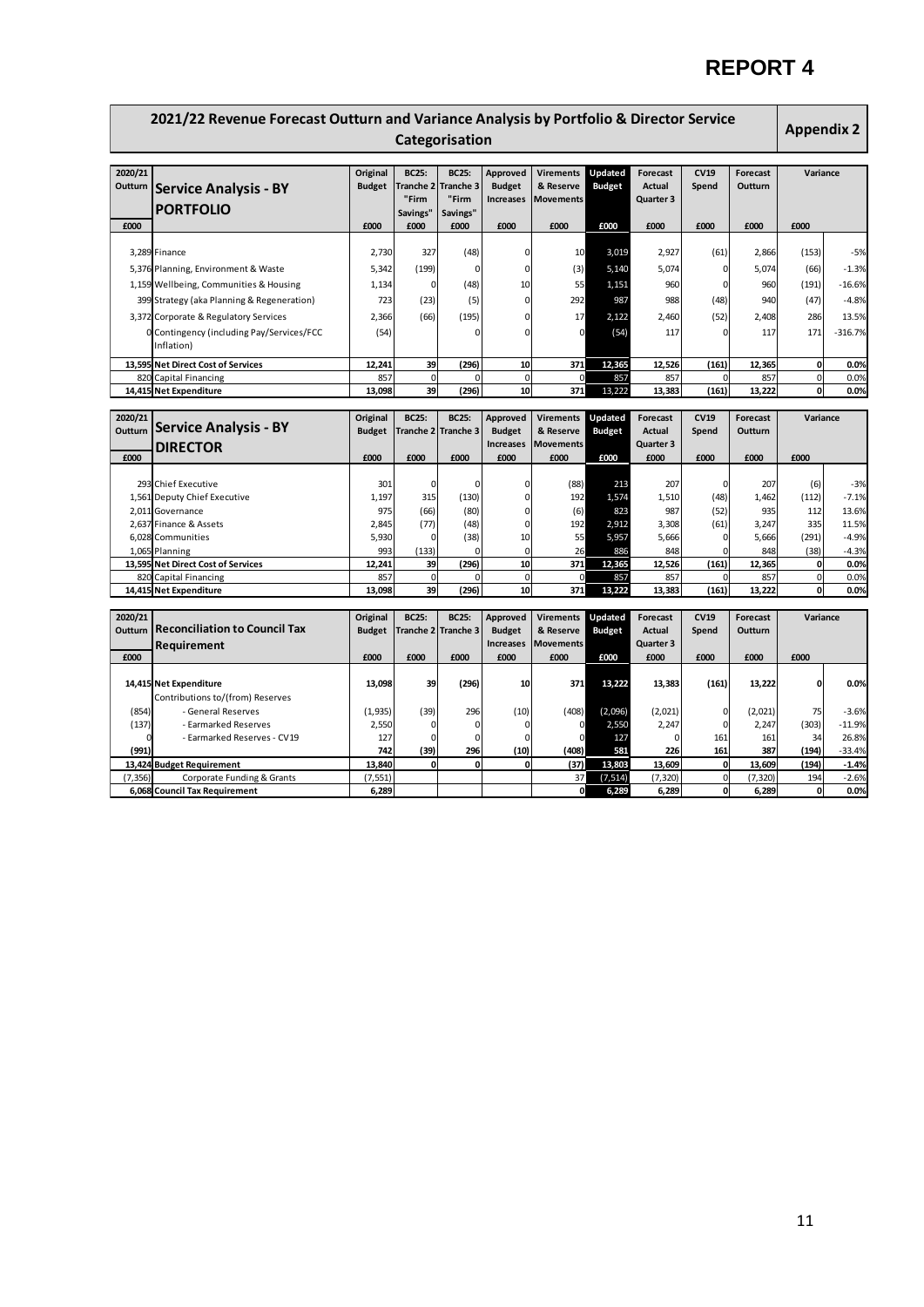| Original<br>Updated<br>2020/21<br><b>BC25:</b><br><b>BC25:</b><br>Approved<br><b>Virements</b><br>Forecast<br>CV19<br>Forecast<br>Variance<br>Tranche 3<br>Outturn<br><b>Budget</b><br><b>Tranche 2</b><br><b>Budget</b><br>& Reserve<br><b>Budget</b><br><b>Actual</b><br>Outturn<br>Spend<br><b>Service Analysis - BY</b><br>"Firm<br>"Firm<br><b>Increases</b><br>Quarter 3<br><b>Movements</b><br><b>PORTFOLIO</b><br>Savings"<br>Savings"<br>£000<br>£000<br>£000<br>£000<br>£000<br>£000<br>£000<br>£000<br>£000<br>£000<br>£000<br>3,289 Finance<br>2,730<br>327<br>(48)<br>10<br>3,019<br>2,927<br>(61)<br>2,866<br>(153)<br>$-5%$<br>0<br>$\mathbf 0$<br>(3)<br>5,074<br>5,342<br>(199)<br>$\Omega$<br>5,140<br>5,074<br>(66)<br>$-1.3%$<br>5,376 Planning, Environment & Waste<br>$\Omega$<br>(48)<br>55<br>1,151<br>960<br>(191)<br>1,159 Wellbeing, Communities & Housing<br>10<br>960<br>$-16.6%$<br>1,134<br>0<br>0<br>292<br>723<br>(23)<br>(5)<br>0<br>987<br>988<br>(48)<br>940<br>(47)<br>$-4.8%$<br>399 Strategy (aka Planning & Regeneration)<br>(52)<br>3,372 Corporate & Regulatory Services<br>2,366<br>(66)<br>(195)<br>$\mathbf 0$<br>17<br>2,122<br>2,460<br>2,408<br>286<br>13.5%<br>0 Contingency (including Pay/Services/FCC<br>(54)<br>$\Omega$<br>0<br>(54)<br>117<br>117<br>171<br>$\Omega$<br>Inflation)<br>12,241<br>39<br>(296)<br>10<br>12,365<br>12,526<br>(161)<br>12,365<br>0<br>13,595 Net Direct Cost of Services<br>371<br>$\mathbf 0$<br>$\mathbf 0$<br>857<br>857<br>820 Capital Financing<br>857<br>0<br>857<br>0<br>0<br>(296)<br>10<br>13,222<br>(161)<br>14,415 Net Expenditure<br>13,098<br>39<br>371<br>13,383<br>13,222<br>0<br>0.0%<br>2020/21<br><b>BC25:</b><br><b>BC25:</b><br>Updated<br><b>CV19</b><br>Original<br><b>Virements</b><br>Forecast<br>Forecast<br>Variance<br>Approved<br><b>Service Analysis - BY</b><br>Outturn<br><b>Budget</b><br>Tranche 2 Tranche 3<br><b>Budget</b><br><b>Budget</b><br><b>Actual</b><br>Outturn<br>& Reserve<br>Spend<br><b>Increases</b><br>Quarter 3<br><b>Movements</b><br><b>DIRECTOR</b><br>£000<br>£000<br>£000<br>£000<br>£000<br>£000<br>£000<br>£000<br>£000<br>£000<br>£000<br>(88)<br>213<br>293 Chief Executive<br>301<br>0<br>0<br>0<br>207<br>0<br>207<br>(6)<br>1,197<br>315<br>(130)<br>192<br>1,574<br>(48)<br>(112)<br>0<br>1,510<br>1,462<br>$-7.1%$<br>1,561 Deputy Chief Executive<br>975<br>$\mathbf 0$<br>823<br>987<br>(52)<br>13.6%<br>2,011 Governance<br>(66)<br>(80)<br>(6)<br>935<br>112<br>$\mathbf 0$<br>335<br>2,637 Finance & Assets<br>2,845<br>(77)<br>(48)<br>192<br>2,912<br>3,308<br>(61)<br>3,247<br>11.5%<br>10<br>55<br>5,957<br>$-4.9%$<br>6,028 Communities<br>5,930<br>(38)<br>5,666<br>5,666<br>(291)<br>0<br>0<br>993<br>$\mathbf 0$<br>26<br>886<br>848<br>848<br>(38)<br>1,065 Planning<br>(133)<br>0<br>12,365<br>13,595 Net Direct Cost of Services<br>(296)<br>10<br>371<br>12,526<br>(161)<br>12,241<br>39<br>12,365<br>0<br>$\mathbf 0$<br>$\mathbf 0$<br>Capital Financing<br>857<br>$\mathbf 0$<br>0<br>857<br>857<br>857<br>$\mathbf 0$<br>820<br>14,415 Net Expenditure<br>13,098<br>39<br>(296)<br>10<br>13.222<br>13,383<br>(161)<br>13,222<br>371<br>0<br>2020/21<br><b>BC25:</b><br><b>BC25:</b><br>Updated<br>Forecast<br><b>CV19</b><br>Original<br>Approved<br><b>Virements</b><br>Forecast<br>Variance<br><b>Reconciliation to Council Tax</b><br>Outturn<br><b>Budget</b><br><b>Tranche 2</b><br>Tranche 3<br><b>Budget</b><br>& Reserve<br><b>Budget</b><br><b>Actual</b><br>Spend<br>Outturn<br><b>Increases</b><br><b>Movements</b><br>Quarter 3<br>Requirement<br>£000<br>£000<br>£000<br>£000<br>£000<br>£000<br>£000<br>£000<br>£000<br>£000<br>£000<br>14,415 Net Expenditure<br>13,098<br>39<br>(296)<br>10<br>371<br>13,222<br>13,383<br>(161)<br>13,222<br>0<br>Contributions to/(from) Reserves<br>(854)<br>- General Reserves<br>(1,935)<br>(39)<br>296<br>(10)<br>(408)<br>(2,096)<br>(2,021)<br>75<br>(2,021)<br>0<br>(137)<br>2,550<br>0<br>2,550<br>2,247<br>$\Omega$<br>2,247<br>(303)<br>- Earmarked Reserves<br>0<br>0<br>0<br>O<br>- Earmarked Reserves - CV19<br>127<br>$\mathbf 0$<br>127<br>161<br>161<br>34<br>$\Omega$<br>$\Omega$<br>$\Omega$<br>(408)<br>742<br>(39)<br>296<br>(10)<br>581<br>226<br>161<br>387<br>(194)<br>(991)<br>13,840<br>(37)<br>13,803<br>13,609<br>(194)<br>$-1.4%$<br>13,424 Budget Requirement<br>O<br>$\mathbf 0$<br>0<br>13,609<br>0<br>$-2.6%$<br>(7, 356)<br>Corporate Funding & Grants<br>(7, 551)<br>37<br>(7, 514)<br>(7, 320)<br>$\mathbf 0$<br>(7, 320)<br>194 | 2021/22 Revenue Forecast Outturn and Variance Analysis by Portfolio & Director Service<br>Categorisation |                               |       |  |  |  |   |       |       |   | <b>Appendix 2</b> |   |           |
|----------------------------------------------------------------------------------------------------------------------------------------------------------------------------------------------------------------------------------------------------------------------------------------------------------------------------------------------------------------------------------------------------------------------------------------------------------------------------------------------------------------------------------------------------------------------------------------------------------------------------------------------------------------------------------------------------------------------------------------------------------------------------------------------------------------------------------------------------------------------------------------------------------------------------------------------------------------------------------------------------------------------------------------------------------------------------------------------------------------------------------------------------------------------------------------------------------------------------------------------------------------------------------------------------------------------------------------------------------------------------------------------------------------------------------------------------------------------------------------------------------------------------------------------------------------------------------------------------------------------------------------------------------------------------------------------------------------------------------------------------------------------------------------------------------------------------------------------------------------------------------------------------------------------------------------------------------------------------------------------------------------------------------------------------------------------------------------------------------------------------------------------------------------------------------------------------------------------------------------------------------------------------------------------------------------------------------------------------------------------------------------------------------------------------------------------------------------------------------------------------------------------------------------------------------------------------------------------------------------------------------------------------------------------------------------------------------------------------------------------------------------------------------------------------------------------------------------------------------------------------------------------------------------------------------------------------------------------------------------------------------------------------------------------------------------------------------------------------------------------------------------------------------------------------------------------------------------------------------------------------------------------------------------------------------------------------------------------------------------------------------------------------------------------------------------------------------------------------------------------------------------------------------------------------------------------------------------------------------------------------------------------------------------------------------------------------------------------------------------------------------------------------------------------------------------------------------------------------------------------------------------------------------------------------------------------------------------------------------------------------------------------------------------------------------------------------------------------------------------------------------------------------------------------------------------------------------------------------------------------------------------------------------------------------------------------------------------------------------------------------------------------------------------------------------------------------------------------------------------------------------------------------------------------------------------------------------------------|----------------------------------------------------------------------------------------------------------|-------------------------------|-------|--|--|--|---|-------|-------|---|-------------------|---|-----------|
|                                                                                                                                                                                                                                                                                                                                                                                                                                                                                                                                                                                                                                                                                                                                                                                                                                                                                                                                                                                                                                                                                                                                                                                                                                                                                                                                                                                                                                                                                                                                                                                                                                                                                                                                                                                                                                                                                                                                                                                                                                                                                                                                                                                                                                                                                                                                                                                                                                                                                                                                                                                                                                                                                                                                                                                                                                                                                                                                                                                                                                                                                                                                                                                                                                                                                                                                                                                                                                                                                                                                                                                                                                                                                                                                                                                                                                                                                                                                                                                                                                                                                                                                                                                                                                                                                                                                                                                                                                                                                                                                                                                              |                                                                                                          |                               |       |  |  |  |   |       |       |   |                   |   |           |
|                                                                                                                                                                                                                                                                                                                                                                                                                                                                                                                                                                                                                                                                                                                                                                                                                                                                                                                                                                                                                                                                                                                                                                                                                                                                                                                                                                                                                                                                                                                                                                                                                                                                                                                                                                                                                                                                                                                                                                                                                                                                                                                                                                                                                                                                                                                                                                                                                                                                                                                                                                                                                                                                                                                                                                                                                                                                                                                                                                                                                                                                                                                                                                                                                                                                                                                                                                                                                                                                                                                                                                                                                                                                                                                                                                                                                                                                                                                                                                                                                                                                                                                                                                                                                                                                                                                                                                                                                                                                                                                                                                                              |                                                                                                          |                               |       |  |  |  |   |       |       |   |                   |   |           |
|                                                                                                                                                                                                                                                                                                                                                                                                                                                                                                                                                                                                                                                                                                                                                                                                                                                                                                                                                                                                                                                                                                                                                                                                                                                                                                                                                                                                                                                                                                                                                                                                                                                                                                                                                                                                                                                                                                                                                                                                                                                                                                                                                                                                                                                                                                                                                                                                                                                                                                                                                                                                                                                                                                                                                                                                                                                                                                                                                                                                                                                                                                                                                                                                                                                                                                                                                                                                                                                                                                                                                                                                                                                                                                                                                                                                                                                                                                                                                                                                                                                                                                                                                                                                                                                                                                                                                                                                                                                                                                                                                                                              |                                                                                                          |                               |       |  |  |  |   |       |       |   |                   |   |           |
|                                                                                                                                                                                                                                                                                                                                                                                                                                                                                                                                                                                                                                                                                                                                                                                                                                                                                                                                                                                                                                                                                                                                                                                                                                                                                                                                                                                                                                                                                                                                                                                                                                                                                                                                                                                                                                                                                                                                                                                                                                                                                                                                                                                                                                                                                                                                                                                                                                                                                                                                                                                                                                                                                                                                                                                                                                                                                                                                                                                                                                                                                                                                                                                                                                                                                                                                                                                                                                                                                                                                                                                                                                                                                                                                                                                                                                                                                                                                                                                                                                                                                                                                                                                                                                                                                                                                                                                                                                                                                                                                                                                              |                                                                                                          |                               |       |  |  |  |   |       |       |   |                   |   |           |
|                                                                                                                                                                                                                                                                                                                                                                                                                                                                                                                                                                                                                                                                                                                                                                                                                                                                                                                                                                                                                                                                                                                                                                                                                                                                                                                                                                                                                                                                                                                                                                                                                                                                                                                                                                                                                                                                                                                                                                                                                                                                                                                                                                                                                                                                                                                                                                                                                                                                                                                                                                                                                                                                                                                                                                                                                                                                                                                                                                                                                                                                                                                                                                                                                                                                                                                                                                                                                                                                                                                                                                                                                                                                                                                                                                                                                                                                                                                                                                                                                                                                                                                                                                                                                                                                                                                                                                                                                                                                                                                                                                                              |                                                                                                          |                               |       |  |  |  |   |       |       |   |                   |   |           |
|                                                                                                                                                                                                                                                                                                                                                                                                                                                                                                                                                                                                                                                                                                                                                                                                                                                                                                                                                                                                                                                                                                                                                                                                                                                                                                                                                                                                                                                                                                                                                                                                                                                                                                                                                                                                                                                                                                                                                                                                                                                                                                                                                                                                                                                                                                                                                                                                                                                                                                                                                                                                                                                                                                                                                                                                                                                                                                                                                                                                                                                                                                                                                                                                                                                                                                                                                                                                                                                                                                                                                                                                                                                                                                                                                                                                                                                                                                                                                                                                                                                                                                                                                                                                                                                                                                                                                                                                                                                                                                                                                                                              |                                                                                                          |                               |       |  |  |  |   |       |       |   |                   |   |           |
|                                                                                                                                                                                                                                                                                                                                                                                                                                                                                                                                                                                                                                                                                                                                                                                                                                                                                                                                                                                                                                                                                                                                                                                                                                                                                                                                                                                                                                                                                                                                                                                                                                                                                                                                                                                                                                                                                                                                                                                                                                                                                                                                                                                                                                                                                                                                                                                                                                                                                                                                                                                                                                                                                                                                                                                                                                                                                                                                                                                                                                                                                                                                                                                                                                                                                                                                                                                                                                                                                                                                                                                                                                                                                                                                                                                                                                                                                                                                                                                                                                                                                                                                                                                                                                                                                                                                                                                                                                                                                                                                                                                              |                                                                                                          |                               |       |  |  |  |   |       |       |   |                   |   |           |
|                                                                                                                                                                                                                                                                                                                                                                                                                                                                                                                                                                                                                                                                                                                                                                                                                                                                                                                                                                                                                                                                                                                                                                                                                                                                                                                                                                                                                                                                                                                                                                                                                                                                                                                                                                                                                                                                                                                                                                                                                                                                                                                                                                                                                                                                                                                                                                                                                                                                                                                                                                                                                                                                                                                                                                                                                                                                                                                                                                                                                                                                                                                                                                                                                                                                                                                                                                                                                                                                                                                                                                                                                                                                                                                                                                                                                                                                                                                                                                                                                                                                                                                                                                                                                                                                                                                                                                                                                                                                                                                                                                                              |                                                                                                          |                               |       |  |  |  |   |       |       |   |                   |   |           |
|                                                                                                                                                                                                                                                                                                                                                                                                                                                                                                                                                                                                                                                                                                                                                                                                                                                                                                                                                                                                                                                                                                                                                                                                                                                                                                                                                                                                                                                                                                                                                                                                                                                                                                                                                                                                                                                                                                                                                                                                                                                                                                                                                                                                                                                                                                                                                                                                                                                                                                                                                                                                                                                                                                                                                                                                                                                                                                                                                                                                                                                                                                                                                                                                                                                                                                                                                                                                                                                                                                                                                                                                                                                                                                                                                                                                                                                                                                                                                                                                                                                                                                                                                                                                                                                                                                                                                                                                                                                                                                                                                                                              |                                                                                                          |                               |       |  |  |  |   |       |       |   |                   |   | $-316.7%$ |
|                                                                                                                                                                                                                                                                                                                                                                                                                                                                                                                                                                                                                                                                                                                                                                                                                                                                                                                                                                                                                                                                                                                                                                                                                                                                                                                                                                                                                                                                                                                                                                                                                                                                                                                                                                                                                                                                                                                                                                                                                                                                                                                                                                                                                                                                                                                                                                                                                                                                                                                                                                                                                                                                                                                                                                                                                                                                                                                                                                                                                                                                                                                                                                                                                                                                                                                                                                                                                                                                                                                                                                                                                                                                                                                                                                                                                                                                                                                                                                                                                                                                                                                                                                                                                                                                                                                                                                                                                                                                                                                                                                                              |                                                                                                          |                               |       |  |  |  |   |       |       |   |                   |   |           |
|                                                                                                                                                                                                                                                                                                                                                                                                                                                                                                                                                                                                                                                                                                                                                                                                                                                                                                                                                                                                                                                                                                                                                                                                                                                                                                                                                                                                                                                                                                                                                                                                                                                                                                                                                                                                                                                                                                                                                                                                                                                                                                                                                                                                                                                                                                                                                                                                                                                                                                                                                                                                                                                                                                                                                                                                                                                                                                                                                                                                                                                                                                                                                                                                                                                                                                                                                                                                                                                                                                                                                                                                                                                                                                                                                                                                                                                                                                                                                                                                                                                                                                                                                                                                                                                                                                                                                                                                                                                                                                                                                                                              |                                                                                                          |                               |       |  |  |  |   |       |       |   |                   |   | 0.0%      |
|                                                                                                                                                                                                                                                                                                                                                                                                                                                                                                                                                                                                                                                                                                                                                                                                                                                                                                                                                                                                                                                                                                                                                                                                                                                                                                                                                                                                                                                                                                                                                                                                                                                                                                                                                                                                                                                                                                                                                                                                                                                                                                                                                                                                                                                                                                                                                                                                                                                                                                                                                                                                                                                                                                                                                                                                                                                                                                                                                                                                                                                                                                                                                                                                                                                                                                                                                                                                                                                                                                                                                                                                                                                                                                                                                                                                                                                                                                                                                                                                                                                                                                                                                                                                                                                                                                                                                                                                                                                                                                                                                                                              |                                                                                                          |                               |       |  |  |  |   |       |       |   |                   |   | 0.0%      |
|                                                                                                                                                                                                                                                                                                                                                                                                                                                                                                                                                                                                                                                                                                                                                                                                                                                                                                                                                                                                                                                                                                                                                                                                                                                                                                                                                                                                                                                                                                                                                                                                                                                                                                                                                                                                                                                                                                                                                                                                                                                                                                                                                                                                                                                                                                                                                                                                                                                                                                                                                                                                                                                                                                                                                                                                                                                                                                                                                                                                                                                                                                                                                                                                                                                                                                                                                                                                                                                                                                                                                                                                                                                                                                                                                                                                                                                                                                                                                                                                                                                                                                                                                                                                                                                                                                                                                                                                                                                                                                                                                                                              |                                                                                                          |                               |       |  |  |  |   |       |       |   |                   |   |           |
|                                                                                                                                                                                                                                                                                                                                                                                                                                                                                                                                                                                                                                                                                                                                                                                                                                                                                                                                                                                                                                                                                                                                                                                                                                                                                                                                                                                                                                                                                                                                                                                                                                                                                                                                                                                                                                                                                                                                                                                                                                                                                                                                                                                                                                                                                                                                                                                                                                                                                                                                                                                                                                                                                                                                                                                                                                                                                                                                                                                                                                                                                                                                                                                                                                                                                                                                                                                                                                                                                                                                                                                                                                                                                                                                                                                                                                                                                                                                                                                                                                                                                                                                                                                                                                                                                                                                                                                                                                                                                                                                                                                              |                                                                                                          |                               |       |  |  |  |   |       |       |   |                   |   |           |
|                                                                                                                                                                                                                                                                                                                                                                                                                                                                                                                                                                                                                                                                                                                                                                                                                                                                                                                                                                                                                                                                                                                                                                                                                                                                                                                                                                                                                                                                                                                                                                                                                                                                                                                                                                                                                                                                                                                                                                                                                                                                                                                                                                                                                                                                                                                                                                                                                                                                                                                                                                                                                                                                                                                                                                                                                                                                                                                                                                                                                                                                                                                                                                                                                                                                                                                                                                                                                                                                                                                                                                                                                                                                                                                                                                                                                                                                                                                                                                                                                                                                                                                                                                                                                                                                                                                                                                                                                                                                                                                                                                                              |                                                                                                          |                               |       |  |  |  |   |       |       |   |                   |   |           |
|                                                                                                                                                                                                                                                                                                                                                                                                                                                                                                                                                                                                                                                                                                                                                                                                                                                                                                                                                                                                                                                                                                                                                                                                                                                                                                                                                                                                                                                                                                                                                                                                                                                                                                                                                                                                                                                                                                                                                                                                                                                                                                                                                                                                                                                                                                                                                                                                                                                                                                                                                                                                                                                                                                                                                                                                                                                                                                                                                                                                                                                                                                                                                                                                                                                                                                                                                                                                                                                                                                                                                                                                                                                                                                                                                                                                                                                                                                                                                                                                                                                                                                                                                                                                                                                                                                                                                                                                                                                                                                                                                                                              |                                                                                                          |                               |       |  |  |  |   |       |       |   |                   |   |           |
|                                                                                                                                                                                                                                                                                                                                                                                                                                                                                                                                                                                                                                                                                                                                                                                                                                                                                                                                                                                                                                                                                                                                                                                                                                                                                                                                                                                                                                                                                                                                                                                                                                                                                                                                                                                                                                                                                                                                                                                                                                                                                                                                                                                                                                                                                                                                                                                                                                                                                                                                                                                                                                                                                                                                                                                                                                                                                                                                                                                                                                                                                                                                                                                                                                                                                                                                                                                                                                                                                                                                                                                                                                                                                                                                                                                                                                                                                                                                                                                                                                                                                                                                                                                                                                                                                                                                                                                                                                                                                                                                                                                              |                                                                                                          |                               |       |  |  |  |   |       |       |   |                   |   |           |
|                                                                                                                                                                                                                                                                                                                                                                                                                                                                                                                                                                                                                                                                                                                                                                                                                                                                                                                                                                                                                                                                                                                                                                                                                                                                                                                                                                                                                                                                                                                                                                                                                                                                                                                                                                                                                                                                                                                                                                                                                                                                                                                                                                                                                                                                                                                                                                                                                                                                                                                                                                                                                                                                                                                                                                                                                                                                                                                                                                                                                                                                                                                                                                                                                                                                                                                                                                                                                                                                                                                                                                                                                                                                                                                                                                                                                                                                                                                                                                                                                                                                                                                                                                                                                                                                                                                                                                                                                                                                                                                                                                                              |                                                                                                          |                               |       |  |  |  |   |       |       |   |                   |   |           |
|                                                                                                                                                                                                                                                                                                                                                                                                                                                                                                                                                                                                                                                                                                                                                                                                                                                                                                                                                                                                                                                                                                                                                                                                                                                                                                                                                                                                                                                                                                                                                                                                                                                                                                                                                                                                                                                                                                                                                                                                                                                                                                                                                                                                                                                                                                                                                                                                                                                                                                                                                                                                                                                                                                                                                                                                                                                                                                                                                                                                                                                                                                                                                                                                                                                                                                                                                                                                                                                                                                                                                                                                                                                                                                                                                                                                                                                                                                                                                                                                                                                                                                                                                                                                                                                                                                                                                                                                                                                                                                                                                                                              |                                                                                                          |                               |       |  |  |  |   |       |       |   |                   |   | $-3%$     |
|                                                                                                                                                                                                                                                                                                                                                                                                                                                                                                                                                                                                                                                                                                                                                                                                                                                                                                                                                                                                                                                                                                                                                                                                                                                                                                                                                                                                                                                                                                                                                                                                                                                                                                                                                                                                                                                                                                                                                                                                                                                                                                                                                                                                                                                                                                                                                                                                                                                                                                                                                                                                                                                                                                                                                                                                                                                                                                                                                                                                                                                                                                                                                                                                                                                                                                                                                                                                                                                                                                                                                                                                                                                                                                                                                                                                                                                                                                                                                                                                                                                                                                                                                                                                                                                                                                                                                                                                                                                                                                                                                                                              |                                                                                                          |                               |       |  |  |  |   |       |       |   |                   |   |           |
|                                                                                                                                                                                                                                                                                                                                                                                                                                                                                                                                                                                                                                                                                                                                                                                                                                                                                                                                                                                                                                                                                                                                                                                                                                                                                                                                                                                                                                                                                                                                                                                                                                                                                                                                                                                                                                                                                                                                                                                                                                                                                                                                                                                                                                                                                                                                                                                                                                                                                                                                                                                                                                                                                                                                                                                                                                                                                                                                                                                                                                                                                                                                                                                                                                                                                                                                                                                                                                                                                                                                                                                                                                                                                                                                                                                                                                                                                                                                                                                                                                                                                                                                                                                                                                                                                                                                                                                                                                                                                                                                                                                              |                                                                                                          |                               |       |  |  |  |   |       |       |   |                   |   |           |
|                                                                                                                                                                                                                                                                                                                                                                                                                                                                                                                                                                                                                                                                                                                                                                                                                                                                                                                                                                                                                                                                                                                                                                                                                                                                                                                                                                                                                                                                                                                                                                                                                                                                                                                                                                                                                                                                                                                                                                                                                                                                                                                                                                                                                                                                                                                                                                                                                                                                                                                                                                                                                                                                                                                                                                                                                                                                                                                                                                                                                                                                                                                                                                                                                                                                                                                                                                                                                                                                                                                                                                                                                                                                                                                                                                                                                                                                                                                                                                                                                                                                                                                                                                                                                                                                                                                                                                                                                                                                                                                                                                                              |                                                                                                          |                               |       |  |  |  |   |       |       |   |                   |   |           |
|                                                                                                                                                                                                                                                                                                                                                                                                                                                                                                                                                                                                                                                                                                                                                                                                                                                                                                                                                                                                                                                                                                                                                                                                                                                                                                                                                                                                                                                                                                                                                                                                                                                                                                                                                                                                                                                                                                                                                                                                                                                                                                                                                                                                                                                                                                                                                                                                                                                                                                                                                                                                                                                                                                                                                                                                                                                                                                                                                                                                                                                                                                                                                                                                                                                                                                                                                                                                                                                                                                                                                                                                                                                                                                                                                                                                                                                                                                                                                                                                                                                                                                                                                                                                                                                                                                                                                                                                                                                                                                                                                                                              |                                                                                                          |                               |       |  |  |  |   |       |       |   |                   |   | $-4.3%$   |
|                                                                                                                                                                                                                                                                                                                                                                                                                                                                                                                                                                                                                                                                                                                                                                                                                                                                                                                                                                                                                                                                                                                                                                                                                                                                                                                                                                                                                                                                                                                                                                                                                                                                                                                                                                                                                                                                                                                                                                                                                                                                                                                                                                                                                                                                                                                                                                                                                                                                                                                                                                                                                                                                                                                                                                                                                                                                                                                                                                                                                                                                                                                                                                                                                                                                                                                                                                                                                                                                                                                                                                                                                                                                                                                                                                                                                                                                                                                                                                                                                                                                                                                                                                                                                                                                                                                                                                                                                                                                                                                                                                                              |                                                                                                          |                               |       |  |  |  |   |       |       |   |                   |   | 0.0%      |
|                                                                                                                                                                                                                                                                                                                                                                                                                                                                                                                                                                                                                                                                                                                                                                                                                                                                                                                                                                                                                                                                                                                                                                                                                                                                                                                                                                                                                                                                                                                                                                                                                                                                                                                                                                                                                                                                                                                                                                                                                                                                                                                                                                                                                                                                                                                                                                                                                                                                                                                                                                                                                                                                                                                                                                                                                                                                                                                                                                                                                                                                                                                                                                                                                                                                                                                                                                                                                                                                                                                                                                                                                                                                                                                                                                                                                                                                                                                                                                                                                                                                                                                                                                                                                                                                                                                                                                                                                                                                                                                                                                                              |                                                                                                          |                               |       |  |  |  |   |       |       |   |                   |   | 0.0%      |
|                                                                                                                                                                                                                                                                                                                                                                                                                                                                                                                                                                                                                                                                                                                                                                                                                                                                                                                                                                                                                                                                                                                                                                                                                                                                                                                                                                                                                                                                                                                                                                                                                                                                                                                                                                                                                                                                                                                                                                                                                                                                                                                                                                                                                                                                                                                                                                                                                                                                                                                                                                                                                                                                                                                                                                                                                                                                                                                                                                                                                                                                                                                                                                                                                                                                                                                                                                                                                                                                                                                                                                                                                                                                                                                                                                                                                                                                                                                                                                                                                                                                                                                                                                                                                                                                                                                                                                                                                                                                                                                                                                                              |                                                                                                          |                               |       |  |  |  |   |       |       |   |                   |   | 0.0%      |
|                                                                                                                                                                                                                                                                                                                                                                                                                                                                                                                                                                                                                                                                                                                                                                                                                                                                                                                                                                                                                                                                                                                                                                                                                                                                                                                                                                                                                                                                                                                                                                                                                                                                                                                                                                                                                                                                                                                                                                                                                                                                                                                                                                                                                                                                                                                                                                                                                                                                                                                                                                                                                                                                                                                                                                                                                                                                                                                                                                                                                                                                                                                                                                                                                                                                                                                                                                                                                                                                                                                                                                                                                                                                                                                                                                                                                                                                                                                                                                                                                                                                                                                                                                                                                                                                                                                                                                                                                                                                                                                                                                                              |                                                                                                          |                               |       |  |  |  |   |       |       |   |                   |   |           |
|                                                                                                                                                                                                                                                                                                                                                                                                                                                                                                                                                                                                                                                                                                                                                                                                                                                                                                                                                                                                                                                                                                                                                                                                                                                                                                                                                                                                                                                                                                                                                                                                                                                                                                                                                                                                                                                                                                                                                                                                                                                                                                                                                                                                                                                                                                                                                                                                                                                                                                                                                                                                                                                                                                                                                                                                                                                                                                                                                                                                                                                                                                                                                                                                                                                                                                                                                                                                                                                                                                                                                                                                                                                                                                                                                                                                                                                                                                                                                                                                                                                                                                                                                                                                                                                                                                                                                                                                                                                                                                                                                                                              |                                                                                                          |                               |       |  |  |  |   |       |       |   |                   |   |           |
|                                                                                                                                                                                                                                                                                                                                                                                                                                                                                                                                                                                                                                                                                                                                                                                                                                                                                                                                                                                                                                                                                                                                                                                                                                                                                                                                                                                                                                                                                                                                                                                                                                                                                                                                                                                                                                                                                                                                                                                                                                                                                                                                                                                                                                                                                                                                                                                                                                                                                                                                                                                                                                                                                                                                                                                                                                                                                                                                                                                                                                                                                                                                                                                                                                                                                                                                                                                                                                                                                                                                                                                                                                                                                                                                                                                                                                                                                                                                                                                                                                                                                                                                                                                                                                                                                                                                                                                                                                                                                                                                                                                              |                                                                                                          |                               |       |  |  |  |   |       |       |   |                   |   |           |
|                                                                                                                                                                                                                                                                                                                                                                                                                                                                                                                                                                                                                                                                                                                                                                                                                                                                                                                                                                                                                                                                                                                                                                                                                                                                                                                                                                                                                                                                                                                                                                                                                                                                                                                                                                                                                                                                                                                                                                                                                                                                                                                                                                                                                                                                                                                                                                                                                                                                                                                                                                                                                                                                                                                                                                                                                                                                                                                                                                                                                                                                                                                                                                                                                                                                                                                                                                                                                                                                                                                                                                                                                                                                                                                                                                                                                                                                                                                                                                                                                                                                                                                                                                                                                                                                                                                                                                                                                                                                                                                                                                                              |                                                                                                          |                               |       |  |  |  |   |       |       |   |                   |   |           |
|                                                                                                                                                                                                                                                                                                                                                                                                                                                                                                                                                                                                                                                                                                                                                                                                                                                                                                                                                                                                                                                                                                                                                                                                                                                                                                                                                                                                                                                                                                                                                                                                                                                                                                                                                                                                                                                                                                                                                                                                                                                                                                                                                                                                                                                                                                                                                                                                                                                                                                                                                                                                                                                                                                                                                                                                                                                                                                                                                                                                                                                                                                                                                                                                                                                                                                                                                                                                                                                                                                                                                                                                                                                                                                                                                                                                                                                                                                                                                                                                                                                                                                                                                                                                                                                                                                                                                                                                                                                                                                                                                                                              |                                                                                                          |                               |       |  |  |  |   |       |       |   |                   |   |           |
|                                                                                                                                                                                                                                                                                                                                                                                                                                                                                                                                                                                                                                                                                                                                                                                                                                                                                                                                                                                                                                                                                                                                                                                                                                                                                                                                                                                                                                                                                                                                                                                                                                                                                                                                                                                                                                                                                                                                                                                                                                                                                                                                                                                                                                                                                                                                                                                                                                                                                                                                                                                                                                                                                                                                                                                                                                                                                                                                                                                                                                                                                                                                                                                                                                                                                                                                                                                                                                                                                                                                                                                                                                                                                                                                                                                                                                                                                                                                                                                                                                                                                                                                                                                                                                                                                                                                                                                                                                                                                                                                                                                              |                                                                                                          |                               |       |  |  |  |   |       |       |   |                   |   | 0.0%      |
|                                                                                                                                                                                                                                                                                                                                                                                                                                                                                                                                                                                                                                                                                                                                                                                                                                                                                                                                                                                                                                                                                                                                                                                                                                                                                                                                                                                                                                                                                                                                                                                                                                                                                                                                                                                                                                                                                                                                                                                                                                                                                                                                                                                                                                                                                                                                                                                                                                                                                                                                                                                                                                                                                                                                                                                                                                                                                                                                                                                                                                                                                                                                                                                                                                                                                                                                                                                                                                                                                                                                                                                                                                                                                                                                                                                                                                                                                                                                                                                                                                                                                                                                                                                                                                                                                                                                                                                                                                                                                                                                                                                              |                                                                                                          |                               |       |  |  |  |   |       |       |   |                   |   |           |
|                                                                                                                                                                                                                                                                                                                                                                                                                                                                                                                                                                                                                                                                                                                                                                                                                                                                                                                                                                                                                                                                                                                                                                                                                                                                                                                                                                                                                                                                                                                                                                                                                                                                                                                                                                                                                                                                                                                                                                                                                                                                                                                                                                                                                                                                                                                                                                                                                                                                                                                                                                                                                                                                                                                                                                                                                                                                                                                                                                                                                                                                                                                                                                                                                                                                                                                                                                                                                                                                                                                                                                                                                                                                                                                                                                                                                                                                                                                                                                                                                                                                                                                                                                                                                                                                                                                                                                                                                                                                                                                                                                                              |                                                                                                          |                               |       |  |  |  |   |       |       |   |                   |   | $-3.6%$   |
|                                                                                                                                                                                                                                                                                                                                                                                                                                                                                                                                                                                                                                                                                                                                                                                                                                                                                                                                                                                                                                                                                                                                                                                                                                                                                                                                                                                                                                                                                                                                                                                                                                                                                                                                                                                                                                                                                                                                                                                                                                                                                                                                                                                                                                                                                                                                                                                                                                                                                                                                                                                                                                                                                                                                                                                                                                                                                                                                                                                                                                                                                                                                                                                                                                                                                                                                                                                                                                                                                                                                                                                                                                                                                                                                                                                                                                                                                                                                                                                                                                                                                                                                                                                                                                                                                                                                                                                                                                                                                                                                                                                              |                                                                                                          |                               |       |  |  |  |   |       |       |   |                   |   | $-11.9%$  |
|                                                                                                                                                                                                                                                                                                                                                                                                                                                                                                                                                                                                                                                                                                                                                                                                                                                                                                                                                                                                                                                                                                                                                                                                                                                                                                                                                                                                                                                                                                                                                                                                                                                                                                                                                                                                                                                                                                                                                                                                                                                                                                                                                                                                                                                                                                                                                                                                                                                                                                                                                                                                                                                                                                                                                                                                                                                                                                                                                                                                                                                                                                                                                                                                                                                                                                                                                                                                                                                                                                                                                                                                                                                                                                                                                                                                                                                                                                                                                                                                                                                                                                                                                                                                                                                                                                                                                                                                                                                                                                                                                                                              |                                                                                                          |                               |       |  |  |  |   |       |       |   |                   |   | 26.8%     |
|                                                                                                                                                                                                                                                                                                                                                                                                                                                                                                                                                                                                                                                                                                                                                                                                                                                                                                                                                                                                                                                                                                                                                                                                                                                                                                                                                                                                                                                                                                                                                                                                                                                                                                                                                                                                                                                                                                                                                                                                                                                                                                                                                                                                                                                                                                                                                                                                                                                                                                                                                                                                                                                                                                                                                                                                                                                                                                                                                                                                                                                                                                                                                                                                                                                                                                                                                                                                                                                                                                                                                                                                                                                                                                                                                                                                                                                                                                                                                                                                                                                                                                                                                                                                                                                                                                                                                                                                                                                                                                                                                                                              |                                                                                                          |                               |       |  |  |  |   |       |       |   |                   |   | $-33.4%$  |
|                                                                                                                                                                                                                                                                                                                                                                                                                                                                                                                                                                                                                                                                                                                                                                                                                                                                                                                                                                                                                                                                                                                                                                                                                                                                                                                                                                                                                                                                                                                                                                                                                                                                                                                                                                                                                                                                                                                                                                                                                                                                                                                                                                                                                                                                                                                                                                                                                                                                                                                                                                                                                                                                                                                                                                                                                                                                                                                                                                                                                                                                                                                                                                                                                                                                                                                                                                                                                                                                                                                                                                                                                                                                                                                                                                                                                                                                                                                                                                                                                                                                                                                                                                                                                                                                                                                                                                                                                                                                                                                                                                                              |                                                                                                          |                               |       |  |  |  |   |       |       |   |                   |   |           |
|                                                                                                                                                                                                                                                                                                                                                                                                                                                                                                                                                                                                                                                                                                                                                                                                                                                                                                                                                                                                                                                                                                                                                                                                                                                                                                                                                                                                                                                                                                                                                                                                                                                                                                                                                                                                                                                                                                                                                                                                                                                                                                                                                                                                                                                                                                                                                                                                                                                                                                                                                                                                                                                                                                                                                                                                                                                                                                                                                                                                                                                                                                                                                                                                                                                                                                                                                                                                                                                                                                                                                                                                                                                                                                                                                                                                                                                                                                                                                                                                                                                                                                                                                                                                                                                                                                                                                                                                                                                                                                                                                                                              |                                                                                                          | 6,068 Council Tax Requirement | 6,289 |  |  |  | o | 6.289 | 6.289 | 0 | 6.289             | 0 | 0.0%      |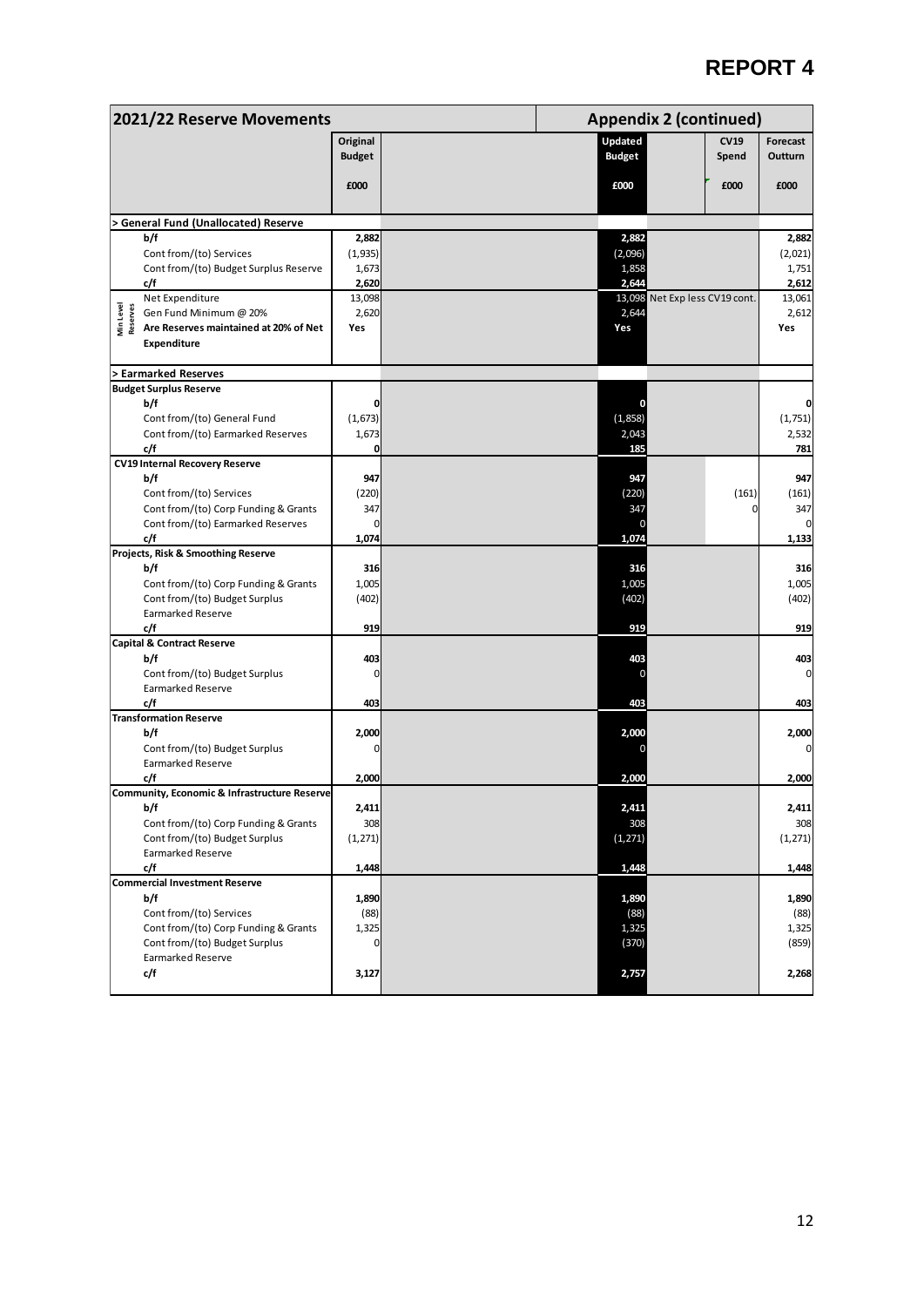| 2021/22 Reserve Movements                                       |               |               | <b>Appendix 2 (continued)</b> |                |  |
|-----------------------------------------------------------------|---------------|---------------|-------------------------------|----------------|--|
|                                                                 | Original      | Updated       | <b>CV19</b>                   | Forecast       |  |
|                                                                 | <b>Budget</b> | <b>Budget</b> | Spend                         | <b>Outturn</b> |  |
|                                                                 |               |               |                               |                |  |
|                                                                 | £000          | £000          | £000                          | £000           |  |
| <b>General Fund (Unallocated) Reserve</b>                       |               |               |                               |                |  |
| b/f                                                             | 2,882         | 2,882         |                               | 2,882          |  |
| Cont from/(to) Services                                         | (1,935)       | (2,096)       |                               | (2,021)        |  |
| Cont from/(to) Budget Surplus Reserve                           | 1,673         | 1,858         |                               | 1,751          |  |
| c/f                                                             | 2,620         | 2,644         |                               | 2,612          |  |
| Net Expenditure                                                 | 13,098        |               | 13,098 Net Expless CV19 cont. | 13,061         |  |
| Min Level<br>Reserves<br>Gen Fund Minimum @ 20%                 | 2,620         | 2,644         |                               | 2,612          |  |
| Are Reserves maintained at 20% of Net                           | Yes           | Yes           |                               | Yes            |  |
| <b>Expenditure</b>                                              |               |               |                               |                |  |
| > Earmarked Reserves                                            |               |               |                               |                |  |
| <b>Budget Surplus Reserve</b>                                   |               |               |                               |                |  |
| b/f                                                             | $\mathbf 0$   |               |                               |                |  |
| Cont from/(to) General Fund                                     | (1,673)       | (1,858)       |                               | (1,751)        |  |
| Cont from/(to) Earmarked Reserves                               | 1,673         | 2,043         |                               | 2,532          |  |
| c/f                                                             | $\mathbf 0$   | 185           |                               | 781            |  |
| <b>CV19 Internal Recovery Reserve</b>                           |               |               |                               |                |  |
| b/f                                                             | 947<br>(220)  | 947<br>(220)  |                               | 947            |  |
| Cont from/(to) Services<br>Cont from/(to) Corp Funding & Grants | 347           | 347           | (161)                         | (161)<br>347   |  |
| Cont from/(to) Earmarked Reserves                               | $\mathbf{0}$  |               |                               |                |  |
| c/f                                                             | 1,074         | 1,074         |                               | 1,133          |  |
| Projects, Risk & Smoothing Reserve                              |               |               |                               |                |  |
| b/f                                                             | 316           | 316           |                               | 316            |  |
| Cont from/(to) Corp Funding & Grants                            | 1,005         | 1,005         |                               | 1,005          |  |
| Cont from/(to) Budget Surplus                                   | (402)         | (402)         |                               | (402)          |  |
| <b>Earmarked Reserve</b>                                        |               |               |                               |                |  |
| c/f                                                             | 919           | 919           |                               | 919            |  |
| <b>Capital &amp; Contract Reserve</b>                           |               |               |                               |                |  |
| b/f                                                             | 403<br>0      | 403           |                               | 403            |  |
| Cont from/(to) Budget Surplus<br><b>Earmarked Reserve</b>       |               |               |                               |                |  |
| c/f                                                             | 403           | 403           |                               | 403            |  |
| <b>Transformation Reserve</b>                                   |               |               |                               |                |  |
| b/f                                                             | 2,000         | 2,000         |                               | 2,000          |  |
| Cont from/(to) Budget Surplus                                   | 0             |               |                               |                |  |
| <b>Earmarked Reserve</b>                                        |               |               |                               |                |  |
| c/f                                                             | 2,000         | 2,000         |                               | 2,000          |  |
| Community, Economic & Infrastructure Reserve                    |               |               |                               |                |  |
| b/f                                                             | 2,411         | 2,411         |                               | 2,411          |  |
| Cont from/(to) Corp Funding & Grants                            | 308           | 308           |                               | 308            |  |
| Cont from/(to) Budget Surplus<br><b>Earmarked Reserve</b>       | (1, 271)      | (1, 271)      |                               | (1, 271)       |  |
| c/f                                                             | 1,448         | 1,448         |                               | 1,448          |  |
| <b>Commercial Investment Reserve</b>                            |               |               |                               |                |  |
| b/f                                                             | 1,890         | 1,890         |                               | 1,890          |  |
| Cont from/(to) Services                                         | (88)          | (88)          |                               | (88)           |  |
| Cont from/(to) Corp Funding & Grants                            | 1,325         | 1,325         |                               | 1,325          |  |
| Cont from/(to) Budget Surplus                                   | $\mathbf 0$   | (370)         |                               | (859)          |  |
| <b>Earmarked Reserve</b>                                        |               |               |                               |                |  |
| c/f                                                             | 3,127         | 2,757         |                               | 2,268          |  |
|                                                                 |               |               |                               |                |  |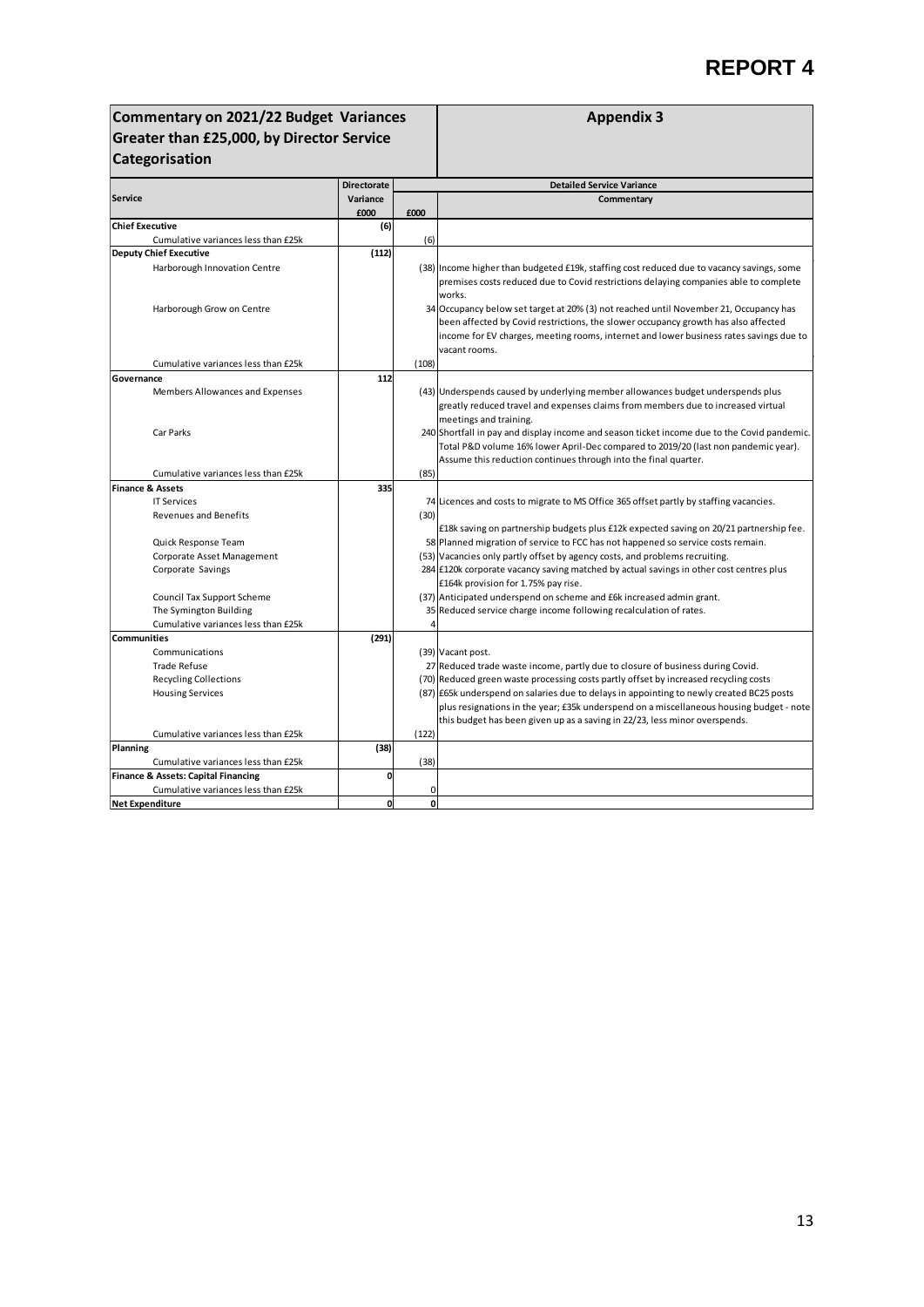| Commentary on 2021/22 Budget Variances                                                           |                    |              | <b>Appendix 3</b>                                                                                                                                                                                                                                                                                                                                                                                                                                                |  |  |  |  |  |  |
|--------------------------------------------------------------------------------------------------|--------------------|--------------|------------------------------------------------------------------------------------------------------------------------------------------------------------------------------------------------------------------------------------------------------------------------------------------------------------------------------------------------------------------------------------------------------------------------------------------------------------------|--|--|--|--|--|--|
| Greater than £25,000, by Director Service                                                        |                    |              |                                                                                                                                                                                                                                                                                                                                                                                                                                                                  |  |  |  |  |  |  |
| Categorisation                                                                                   |                    |              |                                                                                                                                                                                                                                                                                                                                                                                                                                                                  |  |  |  |  |  |  |
|                                                                                                  |                    |              |                                                                                                                                                                                                                                                                                                                                                                                                                                                                  |  |  |  |  |  |  |
|                                                                                                  | <b>Directorate</b> |              | <b>Detailed Service Variance</b>                                                                                                                                                                                                                                                                                                                                                                                                                                 |  |  |  |  |  |  |
| <b>Service</b>                                                                                   | Variance<br>£000   | £000         | Commentary                                                                                                                                                                                                                                                                                                                                                                                                                                                       |  |  |  |  |  |  |
| <b>Chief Executive</b>                                                                           | (6)                |              |                                                                                                                                                                                                                                                                                                                                                                                                                                                                  |  |  |  |  |  |  |
| Cumulative variances less than £25k                                                              |                    | (6)          |                                                                                                                                                                                                                                                                                                                                                                                                                                                                  |  |  |  |  |  |  |
| <b>Deputy Chief Executive</b>                                                                    | (112)              |              |                                                                                                                                                                                                                                                                                                                                                                                                                                                                  |  |  |  |  |  |  |
| Harborough Innovation Centre                                                                     |                    |              | (38) Income higher than budgeted £19k, staffing cost reduced due to vacancy savings, some<br>premises costs reduced due to Covid restrictions delaying companies able to complete<br>works.                                                                                                                                                                                                                                                                      |  |  |  |  |  |  |
| Harborough Grow on Centre                                                                        |                    |              | 34 Occupancy below set target at 20% (3) not reached until November 21, Occupancy has<br>been affected by Covid restrictions, the slower occupancy growth has also affected<br>income for EV charges, meeting rooms, internet and lower business rates savings due to<br>vacant rooms.                                                                                                                                                                           |  |  |  |  |  |  |
| Cumulative variances less than £25k                                                              |                    | (108)        |                                                                                                                                                                                                                                                                                                                                                                                                                                                                  |  |  |  |  |  |  |
| Governance                                                                                       | 112                |              |                                                                                                                                                                                                                                                                                                                                                                                                                                                                  |  |  |  |  |  |  |
| Members Allowances and Expenses                                                                  |                    |              | (43) Underspends caused by underlying member allowances budget underspends plus<br>greatly reduced travel and expenses claims from members due to increased virtual                                                                                                                                                                                                                                                                                              |  |  |  |  |  |  |
| Car Parks                                                                                        |                    |              | meetings and training.<br>240 Shortfall in pay and display income and season ticket income due to the Covid pandemic.<br>Total P&D volume 16% lower April-Dec compared to 2019/20 (last non pandemic year).<br>Assume this reduction continues through into the final quarter.                                                                                                                                                                                   |  |  |  |  |  |  |
| Cumulative variances less than £25k                                                              |                    | (85)         |                                                                                                                                                                                                                                                                                                                                                                                                                                                                  |  |  |  |  |  |  |
| <b>Finance &amp; Assets</b>                                                                      | 335                |              |                                                                                                                                                                                                                                                                                                                                                                                                                                                                  |  |  |  |  |  |  |
| <b>IT Services</b>                                                                               |                    |              | 74 Licences and costs to migrate to MS Office 365 offset partly by staffing vacancies.                                                                                                                                                                                                                                                                                                                                                                           |  |  |  |  |  |  |
| <b>Revenues and Benefits</b>                                                                     |                    | (30)         |                                                                                                                                                                                                                                                                                                                                                                                                                                                                  |  |  |  |  |  |  |
| Quick Response Team<br>Corporate Asset Management<br>Corporate Savings                           |                    |              | £18k saving on partnership budgets plus £12k expected saving on 20/21 partnership fee.<br>58 Planned migration of service to FCC has not happened so service costs remain.<br>(53) Vacancies only partly offset by agency costs, and problems recruiting.<br>284 £120k corporate vacancy saving matched by actual savings in other cost centres plus<br>£164k provision for 1.75% pay rise.                                                                      |  |  |  |  |  |  |
| Council Tax Support Scheme                                                                       |                    |              | (37) Anticipated underspend on scheme and £6k increased admin grant.                                                                                                                                                                                                                                                                                                                                                                                             |  |  |  |  |  |  |
| The Symington Building                                                                           |                    |              | 35 Reduced service charge income following recalculation of rates.                                                                                                                                                                                                                                                                                                                                                                                               |  |  |  |  |  |  |
| Cumulative variances less than £25k                                                              |                    | 4            |                                                                                                                                                                                                                                                                                                                                                                                                                                                                  |  |  |  |  |  |  |
| <b>Communities</b>                                                                               | (291)              |              |                                                                                                                                                                                                                                                                                                                                                                                                                                                                  |  |  |  |  |  |  |
| Communications<br><b>Trade Refuse</b><br><b>Recycling Collections</b><br><b>Housing Services</b> |                    |              | (39) Vacant post.<br>27 Reduced trade waste income, partly due to closure of business during Covid.<br>(70) Reduced green waste processing costs partly offset by increased recycling costs<br>(87) E65k underspend on salaries due to delays in appointing to newly created BC25 posts<br>plus resignations in the year; £35k underspend on a miscellaneous housing budget - note<br>this budget has been given up as a saving in 22/23, less minor overspends. |  |  |  |  |  |  |
| Cumulative variances less than £25k                                                              |                    | (122)        |                                                                                                                                                                                                                                                                                                                                                                                                                                                                  |  |  |  |  |  |  |
| Planning<br>Cumulative variances less than £25k                                                  | (38)               | (38)         |                                                                                                                                                                                                                                                                                                                                                                                                                                                                  |  |  |  |  |  |  |
| <b>Finance &amp; Assets: Capital Financing</b>                                                   | 0                  |              |                                                                                                                                                                                                                                                                                                                                                                                                                                                                  |  |  |  |  |  |  |
| Cumulative variances less than £25k                                                              |                    | $\mathbf 0$  |                                                                                                                                                                                                                                                                                                                                                                                                                                                                  |  |  |  |  |  |  |
| <b>Net Expenditure</b>                                                                           | $\mathbf{0}$       | <sub>0</sub> |                                                                                                                                                                                                                                                                                                                                                                                                                                                                  |  |  |  |  |  |  |